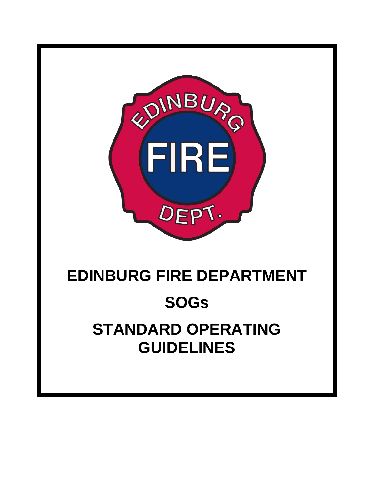

## **EDINBURG FIRE DEPARTMENT SOGs STANDARD OPERATING GUIDELINES**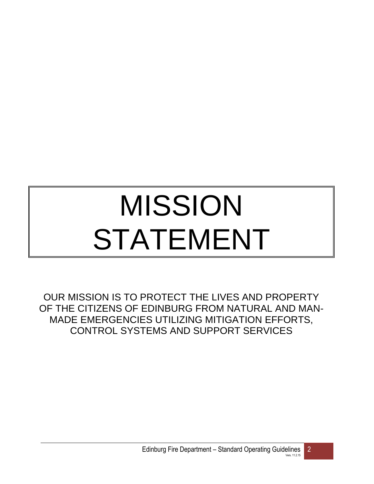# MISSION STATEMENT

OUR MISSION IS TO PROTECT THE LIVES AND PROPERTY OF THE CITIZENS OF EDINBURG FROM NATURAL AND MAN-MADE EMERGENCIES UTILIZING MITIGATION EFFORTS, CONTROL SYSTEMS AND SUPPORT SERVICES

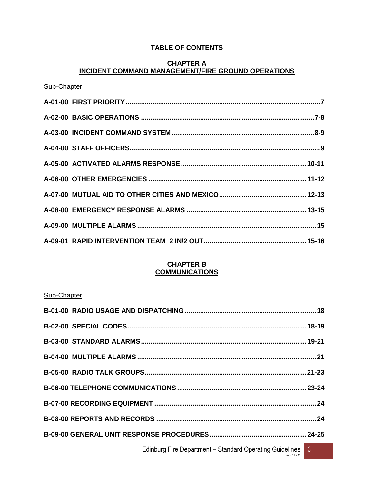#### **TABLE OF CONTENTS**

#### **CHAPTER A INCIDENT COMMAND MANAGEMENT/FIRE GROUND OPERATIONS**

#### **CHAPTER B COMMUNICATIONS**

#### Sub-Chapter

Sub-Chapter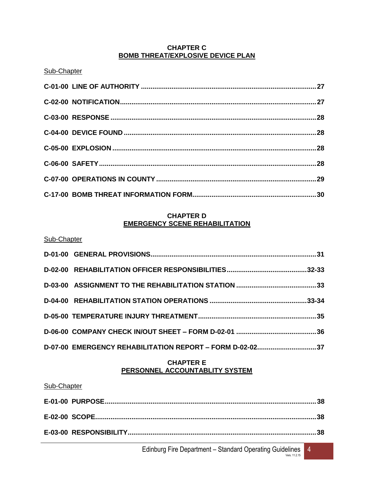#### **CHAPTER C BOMB THREAT/EXPLOSIVE DEVICE PLAN**

#### Sub-Chapter

#### **CHAPTER D EMERGENCY SCENE REHABILITATION**

#### Sub-Chapter

| D-07-00 EMERGENCY REHABILITATION REPORT - FORM D-02-0237 |
|----------------------------------------------------------|

#### **CHAPTER E PERSONNEL ACCOUNTABLITY SYSTEM**

#### Sub-Chapter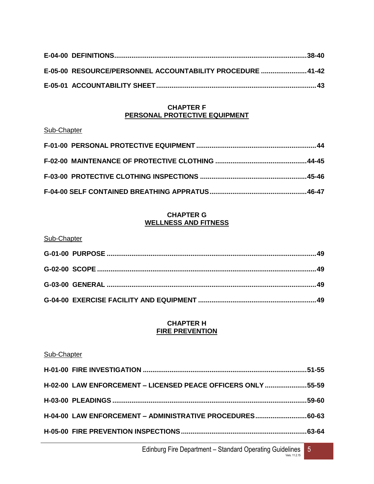| E-05-00 RESOURCE/PERSONNEL ACCOUNTABILITY PROCEDURE 41-42 |  |
|-----------------------------------------------------------|--|
|                                                           |  |

#### **CHAPTER F PERSONAL PROTECTIVE EQUIPMENT**

Sub-Chapter

#### **CHAPTER G WELLNESS AND FITNESS**

#### Sub-Chapter

#### **CHAPTER H FIRE PREVENTION**

#### Sub-Chapter

| H-02-00 LAW ENFORCEMENT - LICENSED PEACE OFFICERS ONLY 55-59 |
|--------------------------------------------------------------|
|                                                              |
| H-04-00 LAW ENFORCEMENT - ADMINISTRATIVE PROCEDURES60-63     |
|                                                              |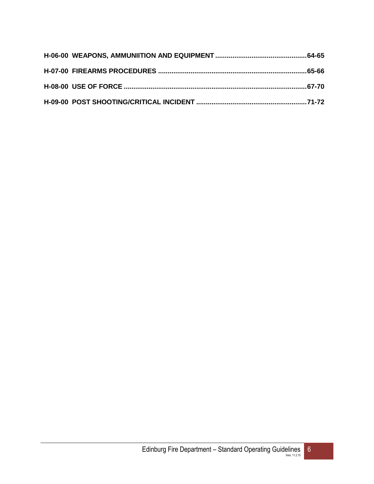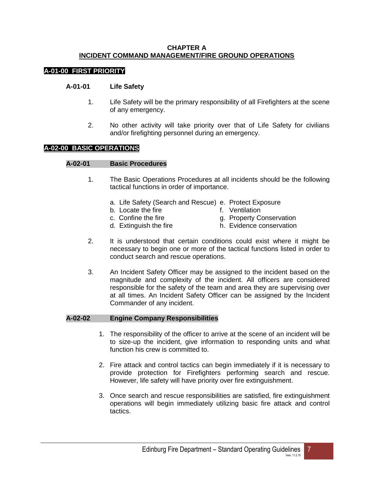#### **CHAPTER A INCIDENT COMMAND MANAGEMENT/FIRE GROUND OPERATIONS**

#### **A-01-00 FIRST PRIORITY**

#### **A-01-01 Life Safety**

- 1. Life Safety will be the primary responsibility of all Firefighters at the scene of any emergency.
- 2. No other activity will take priority over that of Life Safety for civilians and/or firefighting personnel during an emergency.

#### **A-02-00 BASIC OPERATIONS**

#### **A-02-01 Basic Procedures**

- 1. The Basic Operations Procedures at all incidents should be the following tactical functions in order of importance.
	- a. Life Safety (Search and Rescue) e. Protect Exposure
	- b. Locate the fire fire f. Ventilation
		-
	- c. Confine the fire example and g. Property Conservation
	- d. Extinguish the fire h. Evidence conservation
- 2. It is understood that certain conditions could exist where it might be necessary to begin one or more of the tactical functions listed in order to conduct search and rescue operations.
- 3. An Incident Safety Officer may be assigned to the incident based on the magnitude and complexity of the incident. All officers are considered responsible for the safety of the team and area they are supervising over at all times. An Incident Safety Officer can be assigned by the Incident Commander of any incident.

#### **A-02-02 Engine Company Responsibilities**

- 1. The responsibility of the officer to arrive at the scene of an incident will be to size-up the incident, give information to responding units and what function his crew is committed to.
- 2. Fire attack and control tactics can begin immediately if it is necessary to provide protection for Firefighters performing search and rescue. However, life safety will have priority over fire extinguishment.
- 3. Once search and rescue responsibilities are satisfied, fire extinguishment operations will begin immediately utilizing basic fire attack and control tactics.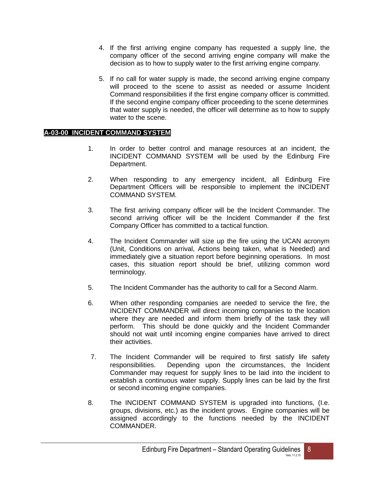- 4. If the first arriving engine company has requested a supply line, the company officer of the second arriving engine company will make the decision as to how to supply water to the first arriving engine company.
- 5. If no call for water supply is made, the second arriving engine company will proceed to the scene to assist as needed or assume Incident Command responsibilities if the first engine company officer is committed. If the second engine company officer proceeding to the scene determines that water supply is needed, the officer will determine as to how to supply water to the scene.

#### **A-03-00 INCIDENT COMMAND SYSTEM**

- 1. In order to better control and manage resources at an incident, the INCIDENT COMMAND SYSTEM will be used by the Edinburg Fire Department.
- 2. When responding to any emergency incident, all Edinburg Fire Department Officers will be responsible to implement the INCIDENT COMMAND SYSTEM.
- 3. The first arriving company officer will be the Incident Commander. The second arriving officer will be the Incident Commander if the first Company Officer has committed to a tactical function.
- 4. The Incident Commander will size up the fire using the UCAN acronym (Unit, Conditions on arrival, Actions being taken, what is Needed) and immediately give a situation report before beginning operations. In most cases, this situation report should be brief, utilizing common word terminology.
- 5. The Incident Commander has the authority to call for a Second Alarm.
- 6. When other responding companies are needed to service the fire, the INCIDENT COMMANDER will direct incoming companies to the location where they are needed and inform them briefly of the task they will perform. This should be done quickly and the Incident Commander should not wait until incoming engine companies have arrived to direct their activities.
- 7. The Incident Commander will be required to first satisfy life safety responsibilities. Depending upon the circumstances, the Incident Commander may request for supply lines to be laid into the incident to establish a continuous water supply. Supply lines can be laid by the first or second incoming engine companies.
- 8. The INCIDENT COMMAND SYSTEM is upgraded into functions, (I.e. groups, divisions, etc.) as the incident grows. Engine companies will be assigned accordingly to the functions needed by the INCIDENT COMMANDER.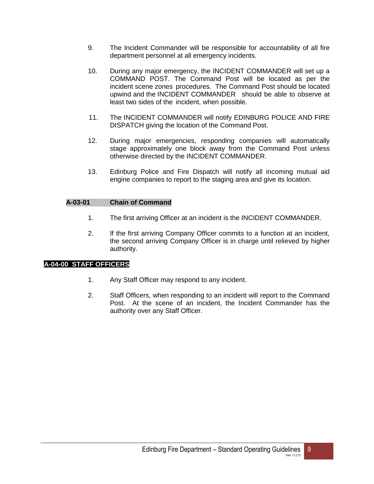- 9. The Incident Commander will be responsible for accountability of all fire department personnel at all emergency incidents.
- 10. During any major emergency, the INCIDENT COMMANDER will set up a COMMAND POST. The Command Post will be located as per the incident scene zones procedures. The Command Post should be located upwind and the INCIDENT COMMANDER should be able to observe at least two sides of the incident, when possible.
- 11. The INCIDENT COMMANDER will notify EDINBURG POLICE AND FIRE DISPATCH giving the location of the Command Post.
- 12. During major emergencies, responding companies will automatically stage approximately one block away from the Command Post unless otherwise directed by the INCIDENT COMMANDER.
- 13. Edinburg Police and Fire Dispatch will notify all incoming mutual aid engine companies to report to the staging area and give its location.

#### **A-03-01 Chain of Command**

- 1. The first arriving Officer at an incident is the INCIDENT COMMANDER.
- 2. If the first arriving Company Officer commits to a function at an incident, the second arriving Company Officer is in charge until relieved by higher authority.

#### **A-04-00 STAFF OFFICERS**

- 1. Any Staff Officer may respond to any incident.
- 2. Staff Officers, when responding to an incident will report to the Command Post. At the scene of an incident, the Incident Commander has the authority over any Staff Officer.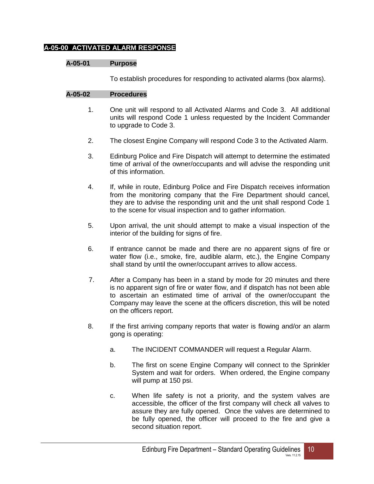#### **A-05-00 ACTIVATED ALARM RESPONSE**

#### **A-05-01 Purpose**

To establish procedures for responding to activated alarms (box alarms).

#### **A-05-02 Procedures**

- 1. One unit will respond to all Activated Alarms and Code 3. All additional units will respond Code 1 unless requested by the Incident Commander to upgrade to Code 3.
- 2. The closest Engine Company will respond Code 3 to the Activated Alarm.
- 3. Edinburg Police and Fire Dispatch will attempt to determine the estimated time of arrival of the owner/occupants and will advise the responding unit of this information.
- 4. If, while in route, Edinburg Police and Fire Dispatch receives information from the monitoring company that the Fire Department should cancel, they are to advise the responding unit and the unit shall respond Code 1 to the scene for visual inspection and to gather information.
- 5. Upon arrival, the unit should attempt to make a visual inspection of the interior of the building for signs of fire.
- 6. If entrance cannot be made and there are no apparent signs of fire or water flow (i.e., smoke, fire, audible alarm, etc.), the Engine Company shall stand by until the owner/occupant arrives to allow access.
- 7. After a Company has been in a stand by mode for 20 minutes and there is no apparent sign of fire or water flow, and if dispatch has not been able to ascertain an estimated time of arrival of the owner/occupant the Company may leave the scene at the officers discretion, this will be noted on the officers report.
- 8. If the first arriving company reports that water is flowing and/or an alarm gong is operating:
	- a. The INCIDENT COMMANDER will request a Regular Alarm.
	- b. The first on scene Engine Company will connect to the Sprinkler System and wait for orders. When ordered, the Engine company will pump at 150 psi.
	- c. When life safety is not a priority, and the system valves are accessible, the officer of the first company will check all valves to assure they are fully opened. Once the valves are determined to be fully opened, the officer will proceed to the fire and give a second situation report.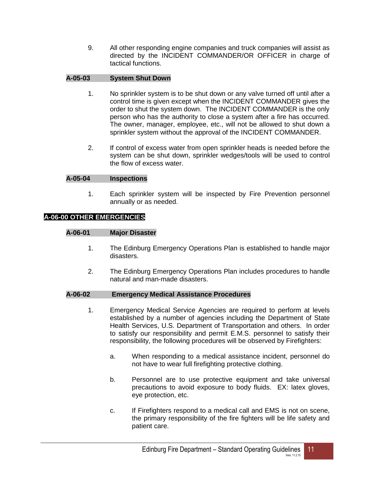9. All other responding engine companies and truck companies will assist as directed by the INCIDENT COMMANDER/OR OFFICER in charge of tactical functions.

#### **A-05-03 System Shut Down**

- 1. No sprinkler system is to be shut down or any valve turned off until after a control time is given except when the INCIDENT COMMANDER gives the order to shut the system down. The INCIDENT COMMANDER is the only person who has the authority to close a system after a fire has occurred. The owner, manager, employee, etc., will not be allowed to shut down a sprinkler system without the approval of the INCIDENT COMMANDER.
- 2. If control of excess water from open sprinkler heads is needed before the system can be shut down, sprinkler wedges/tools will be used to control the flow of excess water.

#### **A-05-04 Inspections**

1. Each sprinkler system will be inspected by Fire Prevention personnel annually or as needed.

#### **A-06-00 OTHER EMERGENCIES**

#### **A-06-01 Major Disaster**

- 1. The Edinburg Emergency Operations Plan is established to handle major disasters.
- 2. The Edinburg Emergency Operations Plan includes procedures to handle natural and man-made disasters.

#### **A-06-02 Emergency Medical Assistance Procedures**

- 1. Emergency Medical Service Agencies are required to perform at levels established by a number of agencies including the Department of State Health Services, U.S. Department of Transportation and others. In order to satisfy our responsibility and permit E.M.S. personnel to satisfy their responsibility, the following procedures will be observed by Firefighters:
	- a. When responding to a medical assistance incident, personnel do not have to wear full firefighting protective clothing.
	- b. Personnel are to use protective equipment and take universal precautions to avoid exposure to body fluids. EX: latex gloves, eye protection, etc.
	- c. If Firefighters respond to a medical call and EMS is not on scene, the primary responsibility of the fire fighters will be life safety and patient care.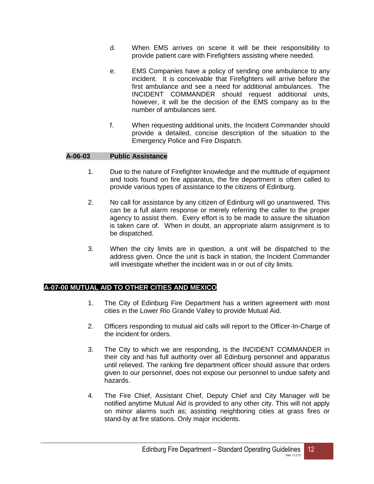- d. When EMS arrives on scene it will be their responsibility to provide patient care with Firefighters assisting where needed.
- e. EMS Companies have a policy of sending one ambulance to any incident. It is conceivable that Firefighters will arrive before the first ambulance and see a need for additional ambulances. The INCIDENT COMMANDER should request additional units, however, it will be the decision of the EMS company as to the number of ambulances sent.
- f. When requesting additional units, the Incident Commander should provide a detailed, concise description of the situation to the Emergency Police and Fire Dispatch.

#### **A-06-03 Public Assistance**

- 1. Due to the nature of Firefighter knowledge and the multitude of equipment and tools found on fire apparatus, the fire department is often called to provide various types of assistance to the citizens of Edinburg.
- 2. No call for assistance by any citizen of Edinburg will go unanswered. This can be a full alarm response or merely referring the caller to the proper agency to assist them. Every effort is to be made to assure the situation is taken care of. When in doubt, an appropriate alarm assignment is to be dispatched.
- 3. When the city limits are in question, a unit will be dispatched to the address given. Once the unit is back in station, the Incident Commander will investigate whether the incident was in or out of city limits.

#### **A-07-00 MUTUAL AID TO OTHER CITIES AND MEXICO**

- 1. The City of Edinburg Fire Department has a written agreement with most cities in the Lower Rio Grande Valley to provide Mutual Aid.
- 2. Officers responding to mutual aid calls will report to the Officer-In-Charge of the incident for orders.
- 3. The City to which we are responding, is the INCIDENT COMMANDER in their city and has full authority over all Edinburg personnel and apparatus until relieved. The ranking fire department officer should assure that orders given to our personnel, does not expose our personnel to undue safety and hazards.
- 4. The Fire Chief, Assistant Chief, Deputy Chief and City Manager will be notified anytime Mutual Aid is provided to any other city. This will not apply on minor alarms such as; assisting neighboring cities at grass fires or stand-by at fire stations. Only major incidents.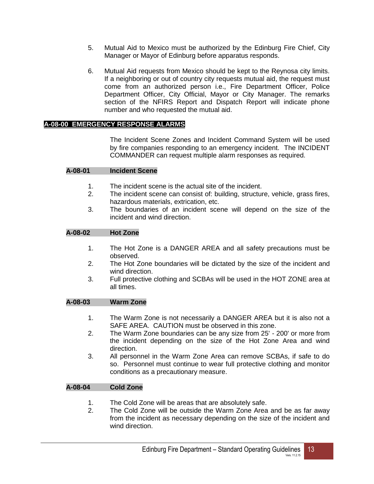- 5. Mutual Aid to Mexico must be authorized by the Edinburg Fire Chief, City Manager or Mayor of Edinburg before apparatus responds.
- 6. Mutual Aid requests from Mexico should be kept to the Reynosa city limits. If a neighboring or out of country city requests mutual aid, the request must come from an authorized person i.e., Fire Department Officer, Police Department Officer, City Official, Mayor or City Manager. The remarks section of the NFIRS Report and Dispatch Report will indicate phone number and who requested the mutual aid.

#### **A-08-00 EMERGENCY RESPONSE ALARMS**

The Incident Scene Zones and Incident Command System will be used by fire companies responding to an emergency incident. The INCIDENT COMMANDER can request multiple alarm responses as required.

#### **A-08-01 Incident Scene**

- 1. The incident scene is the actual site of the incident.
- 2. The incident scene can consist of: building, structure, vehicle, grass fires, hazardous materials, extrication, etc.
- 3. The boundaries of an incident scene will depend on the size of the incident and wind direction.

#### **A-08-02 Hot Zone**

- 1. The Hot Zone is a DANGER AREA and all safety precautions must be observed.
- 2. The Hot Zone boundaries will be dictated by the size of the incident and wind direction.
- 3. Full protective clothing and SCBAs will be used in the HOT ZONE area at all times.

#### **A-08-03 Warm Zone**

- 1. The Warm Zone is not necessarily a DANGER AREA but it is also not a SAFE AREA. CAUTION must be observed in this zone.
- 2. The Warm Zone boundaries can be any size from 25' 200' or more from the incident depending on the size of the Hot Zone Area and wind direction.
- 3. All personnel in the Warm Zone Area can remove SCBAs, if safe to do so. Personnel must continue to wear full protective clothing and monitor conditions as a precautionary measure.

#### **A-08-04 Cold Zone**

- 1. The Cold Zone will be areas that are absolutely safe.
- 2. The Cold Zone will be outside the Warm Zone Area and be as far away from the incident as necessary depending on the size of the incident and wind direction.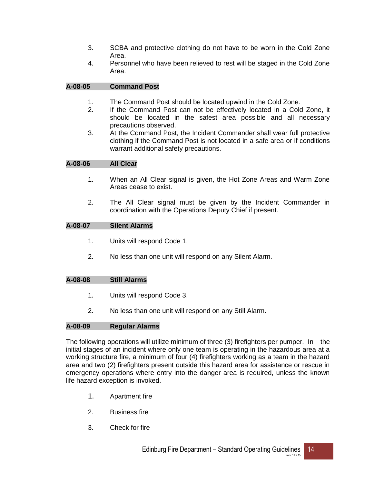- 3. SCBA and protective clothing do not have to be worn in the Cold Zone Area.
- 4. Personnel who have been relieved to rest will be staged in the Cold Zone Area.

#### **A-08-05 Command Post**

- 1. The Command Post should be located upwind in the Cold Zone.
- 2. If the Command Post can not be effectively located in a Cold Zone, it should be located in the safest area possible and all necessary precautions observed.
- 3. At the Command Post, the Incident Commander shall wear full protective clothing if the Command Post is not located in a safe area or if conditions warrant additional safety precautions.

#### **A-08-06 All Clear**

- 1. When an All Clear signal is given, the Hot Zone Areas and Warm Zone Areas cease to exist.
- 2. The All Clear signal must be given by the Incident Commander in coordination with the Operations Deputy Chief if present.

#### **A-08-07 Silent Alarms**

- 1. Units will respond Code 1.
- 2. No less than one unit will respond on any Silent Alarm.

#### **A-08-08 Still Alarms**

- 1. Units will respond Code 3.
- 2. No less than one unit will respond on any Still Alarm.

#### **A-08-09 Regular Alarms**

The following operations will utilize minimum of three (3) firefighters per pumper. In the initial stages of an incident where only one team is operating in the hazardous area at a working structure fire, a minimum of four (4) firefighters working as a team in the hazard area and two (2) firefighters present outside this hazard area for assistance or rescue in emergency operations where entry into the danger area is required, unless the known life hazard exception is invoked.

- 1. Apartment fire
- 2. Business fire
- 3. Check for fire

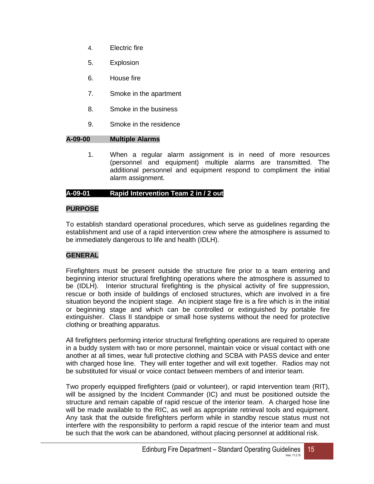- 4. Electric fire
- 5. Explosion
- 6. House fire
- 7. Smoke in the apartment
- 8. Smoke in the business
- 9. Smoke in the residence

#### **A-09-00 Multiple Alarms**

1. When a regular alarm assignment is in need of more resources (personnel and equipment) multiple alarms are transmitted. The additional personnel and equipment respond to compliment the initial alarm assignment.

#### **A-09-01 Rapid Intervention Team 2 in / 2 out**

#### **PURPOSE**

To establish standard operational procedures, which serve as guidelines regarding the establishment and use of a rapid intervention crew where the atmosphere is assumed to be immediately dangerous to life and health (IDLH).

#### **GENERAL**

Firefighters must be present outside the structure fire prior to a team entering and beginning interior structural firefighting operations where the atmosphere is assumed to be (IDLH). Interior structural firefighting is the physical activity of fire suppression, rescue or both inside of buildings of enclosed structures, which are involved in a fire situation beyond the incipient stage. An incipient stage fire is a fire which is in the initial or beginning stage and which can be controlled or extinguished by portable fire extinguisher. Class II standpipe or small hose systems without the need for protective clothing or breathing apparatus.

All firefighters performing interior structural firefighting operations are required to operate in a buddy system with two or more personnel, maintain voice or visual contact with one another at all times, wear full protective clothing and SCBA with PASS device and enter with charged hose line. They will enter together and will exit together. Radios may not be substituted for visual or voice contact between members of and interior team.

Two properly equipped firefighters (paid or volunteer), or rapid intervention team (RIT), will be assigned by the Incident Commander (IC) and must be positioned outside the structure and remain capable of rapid rescue of the interior team. A charged hose line will be made available to the RIC, as well as appropriate retrieval tools and equipment. Any task that the outside firefighters perform while in standby rescue status must not interfere with the responsibility to perform a rapid rescue of the interior team and must be such that the work can be abandoned, without placing personnel at additional risk.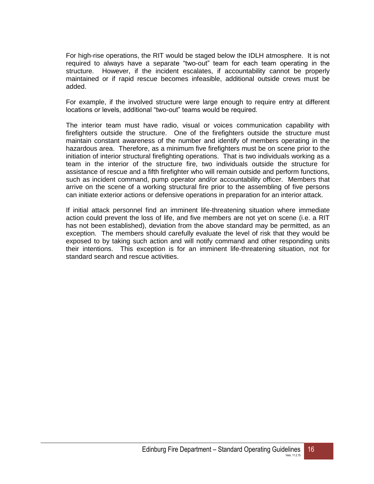For high-rise operations, the RIT would be staged below the IDLH atmosphere. It is not required to always have a separate "two-out" team for each team operating in the structure. However, if the incident escalates, if accountability cannot be properly maintained or if rapid rescue becomes infeasible, additional outside crews must be added.

For example, if the involved structure were large enough to require entry at different locations or levels, additional "two-out" teams would be required.

The interior team must have radio, visual or voices communication capability with firefighters outside the structure. One of the firefighters outside the structure must maintain constant awareness of the number and identify of members operating in the hazardous area. Therefore, as a minimum five firefighters must be on scene prior to the initiation of interior structural firefighting operations. That is two individuals working as a team in the interior of the structure fire, two individuals outside the structure for assistance of rescue and a fifth firefighter who will remain outside and perform functions, such as incident command, pump operator and/or accountability officer. Members that arrive on the scene of a working structural fire prior to the assembling of five persons can initiate exterior actions or defensive operations in preparation for an interior attack.

If initial attack personnel find an imminent life-threatening situation where immediate action could prevent the loss of life, and five members are not yet on scene (i.e. a RIT has not been established), deviation from the above standard may be permitted, as an exception. The members should carefully evaluate the level of risk that they would be exposed to by taking such action and will notify command and other responding units their intentions. This exception is for an imminent life-threatening situation, not for standard search and rescue activities.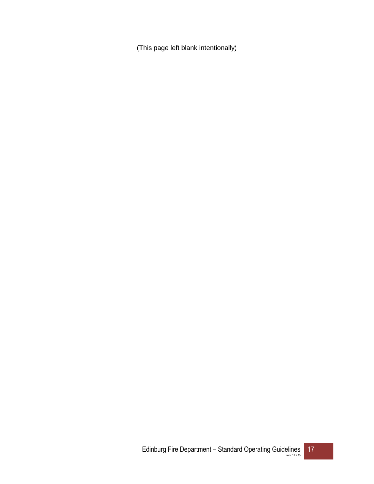(This page left blank intentionally)

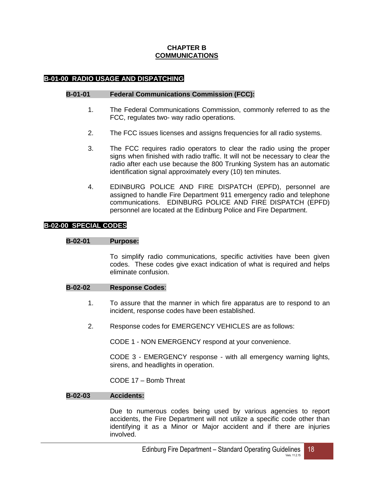#### **CHAPTER B COMMUNICATIONS**

#### **B-01-00 RADIO USAGE AND DISPATCHING**

#### **B-01-01 Federal Communications Commission (FCC):**

- 1. The Federal Communications Commission, commonly referred to as the FCC, regulates two- way radio operations.
- 2. The FCC issues licenses and assigns frequencies for all radio systems.
- 3. The FCC requires radio operators to clear the radio using the proper signs when finished with radio traffic. It will not be necessary to clear the radio after each use because the 800 Trunking System has an automatic identification signal approximately every (10) ten minutes.
- 4. EDINBURG POLICE AND FIRE DISPATCH (EPFD), personnel are assigned to handle Fire Department 911 emergency radio and telephone communications. EDINBURG POLICE AND FIRE DISPATCH (EPFD) personnel are located at the Edinburg Police and Fire Department.

#### **B-02-00 SPECIAL CODES**

#### **B-02-01 Purpose:**

To simplify radio communications, specific activities have been given codes. These codes give exact indication of what is required and helps eliminate confusion.

#### **B-02-02 Response Codes**:

- 1. To assure that the manner in which fire apparatus are to respond to an incident, response codes have been established.
- 2. Response codes for EMERGENCY VEHICLES are as follows:

CODE 1 - NON EMERGENCY respond at your convenience.

CODE 3 - EMERGENCY response - with all emergency warning lights, sirens, and headlights in operation.

CODE 17 – Bomb Threat

#### **B-02-03 Accidents:**

Due to numerous codes being used by various agencies to report accidents, the Fire Department will not utilize a specific code other than identifying it as a Minor or Major accident and if there are injuries involved.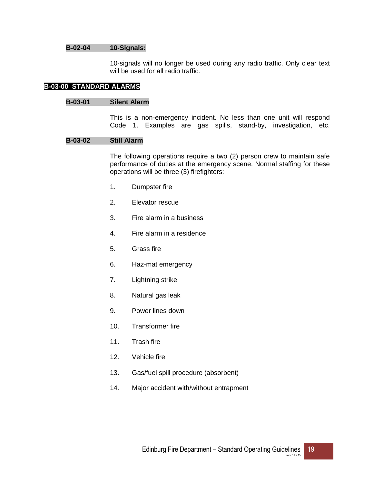#### **B-02-04 10-Signals:**

10-signals will no longer be used during any radio traffic. Only clear text will be used for all radio traffic.

#### **B-03-00 STANDARD ALARMS**

#### **B-03-01 Silent Alarm**

This is a non-emergency incident. No less than one unit will respond Code 1. Examples are gas spills, stand-by, investigation, etc.

#### **B-03-02 Still Alarm**

The following operations require a two (2) person crew to maintain safe performance of duties at the emergency scene. Normal staffing for these operations will be three (3) firefighters:

- 1. Dumpster fire
- 2. Elevator rescue
- 3. Fire alarm in a business
- 4. Fire alarm in a residence
- 5. Grass fire
- 6. Haz-mat emergency
- 7. Lightning strike
- 8. Natural gas leak
- 9. Power lines down
- 10. Transformer fire
- 11. Trash fire
- 12. Vehicle fire
- 13. Gas/fuel spill procedure (absorbent)
- 14. Major accident with/without entrapment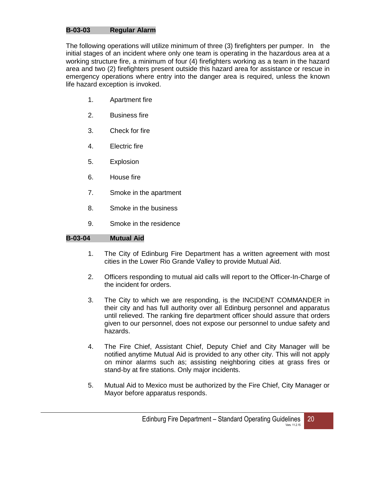#### **B-03-03 Regular Alarm**

The following operations will utilize minimum of three (3) firefighters per pumper. In the initial stages of an incident where only one team is operating in the hazardous area at a working structure fire, a minimum of four (4) firefighters working as a team in the hazard area and two (2) firefighters present outside this hazard area for assistance or rescue in emergency operations where entry into the danger area is required, unless the known life hazard exception is invoked.

- 1. Apartment fire
- 2. Business fire
- 3. Check for fire
- 4. Electric fire
- 5. Explosion
- 6. House fire
- 7. Smoke in the apartment
- 8. Smoke in the business
- 9. Smoke in the residence

#### **B-03-04 Mutual Aid**

- 1. The City of Edinburg Fire Department has a written agreement with most cities in the Lower Rio Grande Valley to provide Mutual Aid.
- 2. Officers responding to mutual aid calls will report to the Officer-In-Charge of the incident for orders.
- 3. The City to which we are responding, is the INCIDENT COMMANDER in their city and has full authority over all Edinburg personnel and apparatus until relieved. The ranking fire department officer should assure that orders given to our personnel, does not expose our personnel to undue safety and hazards.
- 4. The Fire Chief, Assistant Chief, Deputy Chief and City Manager will be notified anytime Mutual Aid is provided to any other city. This will not apply on minor alarms such as; assisting neighboring cities at grass fires or stand-by at fire stations. Only major incidents.
- 5. Mutual Aid to Mexico must be authorized by the Fire Chief, City Manager or Mayor before apparatus responds.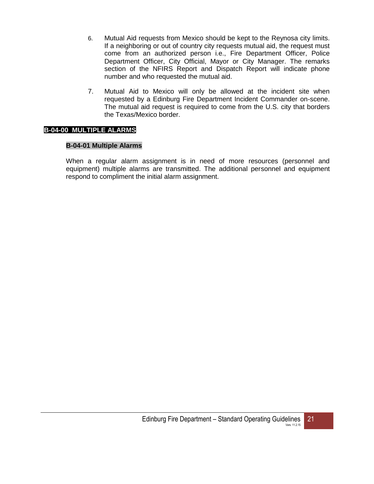- 6. Mutual Aid requests from Mexico should be kept to the Reynosa city limits. If a neighboring or out of country city requests mutual aid, the request must come from an authorized person i.e., Fire Department Officer, Police Department Officer, City Official, Mayor or City Manager. The remarks section of the NFIRS Report and Dispatch Report will indicate phone number and who requested the mutual aid.
- 7. Mutual Aid to Mexico will only be allowed at the incident site when requested by a Edinburg Fire Department Incident Commander on-scene. The mutual aid request is required to come from the U.S. city that borders the Texas/Mexico border.

#### **B-04-00 MULTIPLE ALARMS**

#### **B-04-01 Multiple Alarms**

When a regular alarm assignment is in need of more resources (personnel and equipment) multiple alarms are transmitted. The additional personnel and equipment respond to compliment the initial alarm assignment.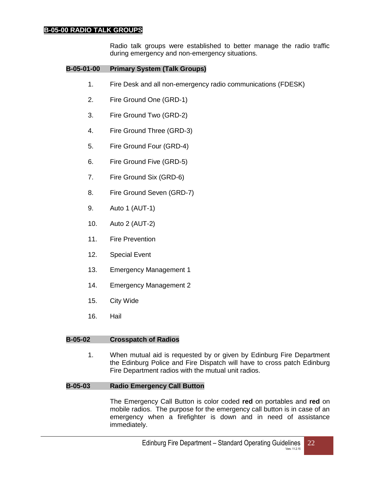#### **B-05-00 RADIO TALK GROUPS**

Radio talk groups were established to better manage the radio traffic during emergency and non-emergency situations.

#### **B-05-01-00 Primary System (Talk Groups)**

- 1. Fire Desk and all non-emergency radio communications (FDESK)
- 2. Fire Ground One (GRD-1)
- 3. Fire Ground Two (GRD-2)
- 4. Fire Ground Three (GRD-3)
- 5. Fire Ground Four (GRD-4)
- 6. Fire Ground Five (GRD-5)
- 7. Fire Ground Six (GRD-6)
- 8. Fire Ground Seven (GRD-7)
- 9. Auto 1 (AUT-1)
- 10. Auto 2 (AUT-2)
- 11. Fire Prevention
- 12. Special Event
- 13. Emergency Management 1
- 14. Emergency Management 2
- 15. City Wide
- 16. Hail

#### **B-05-02 Crosspatch of Radios**

1. When mutual aid is requested by or given by Edinburg Fire Department the Edinburg Police and Fire Dispatch will have to cross patch Edinburg Fire Department radios with the mutual unit radios.

#### **B-05-03 Radio Emergency Call Button**

The Emergency Call Button is color coded **red** on portables and **red** on mobile radios. The purpose for the emergency call button is in case of an emergency when a firefighter is down and in need of assistance immediately.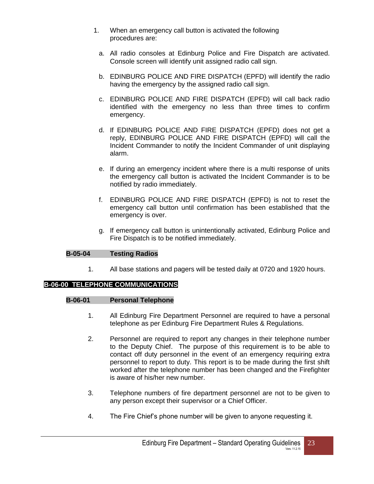- 1. When an emergency call button is activated the following procedures are:
	- a. All radio consoles at Edinburg Police and Fire Dispatch are activated. Console screen will identify unit assigned radio call sign.
	- b. EDINBURG POLICE AND FIRE DISPATCH (EPFD) will identify the radio having the emergency by the assigned radio call sign.
	- c. EDINBURG POLICE AND FIRE DISPATCH (EPFD) will call back radio identified with the emergency no less than three times to confirm emergency.
	- d. If EDINBURG POLICE AND FIRE DISPATCH (EPFD) does not get a reply, EDINBURG POLICE AND FIRE DISPATCH (EPFD) will call the Incident Commander to notify the Incident Commander of unit displaying alarm.
	- e. If during an emergency incident where there is a multi response of units the emergency call button is activated the Incident Commander is to be notified by radio immediately.
	- f. EDINBURG POLICE AND FIRE DISPATCH (EPFD) is not to reset the emergency call button until confirmation has been established that the emergency is over.
	- g. If emergency call button is unintentionally activated, Edinburg Police and Fire Dispatch is to be notified immediately.

#### **B-05-04 Testing Radios**

1. All base stations and pagers will be tested daily at 0720 and 1920 hours.

#### **B-06-00 TELEPHONE COMMUNICATIONS**

#### **B-06-01 Personal Telephone**

- 1. All Edinburg Fire Department Personnel are required to have a personal telephone as per Edinburg Fire Department Rules & Regulations.
- 2. Personnel are required to report any changes in their telephone number to the Deputy Chief. The purpose of this requirement is to be able to contact off duty personnel in the event of an emergency requiring extra personnel to report to duty. This report is to be made during the first shift worked after the telephone number has been changed and the Firefighter is aware of his/her new number.
- 3. Telephone numbers of fire department personnel are not to be given to any person except their supervisor or a Chief Officer.
- 4. The Fire Chief's phone number will be given to anyone requesting it.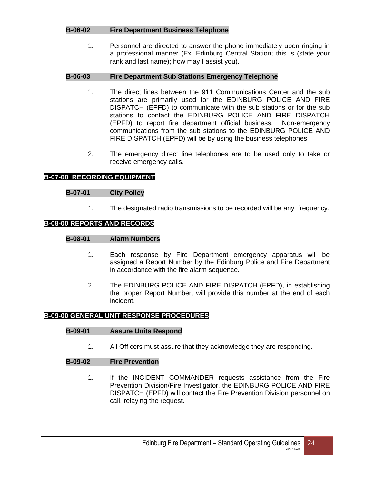#### **B-06-02 Fire Department Business Telephone**

1. Personnel are directed to answer the phone immediately upon ringing in a professional manner (Ex: Edinburg Central Station; this is (state your rank and last name); how may I assist you).

#### **B-06-03 Fire Department Sub Stations Emergency Telephone**

- 1. The direct lines between the 911 Communications Center and the sub stations are primarily used for the EDINBURG POLICE AND FIRE DISPATCH (EPFD) to communicate with the sub stations or for the sub stations to contact the EDINBURG POLICE AND FIRE DISPATCH (EPFD) to report fire department official business. Non-emergency communications from the sub stations to the EDINBURG POLICE AND FIRE DISPATCH (EPFD) will be by using the business telephones
- 2. The emergency direct line telephones are to be used only to take or receive emergency calls.

#### **B-07-00 RECORDING EQUIPMENT**

#### **B-07-01 City Policy**

1. The designated radio transmissions to be recorded will be any frequency.

#### **B-08-00 REPORTS AND RECORDS**

#### **B-08-01 Alarm Numbers**

- 1. Each response by Fire Department emergency apparatus will be assigned a Report Number by the Edinburg Police and Fire Department in accordance with the fire alarm sequence.
- 2. The EDINBURG POLICE AND FIRE DISPATCH (EPFD), in establishing the proper Report Number, will provide this number at the end of each incident.

#### **B-09-00 GENERAL UNIT RESPONSE PROCEDURES**

#### **B-09-01 Assure Units Respond**

1. All Officers must assure that they acknowledge they are responding.

#### **B-09-02 Fire Prevention**

1. If the INCIDENT COMMANDER requests assistance from the Fire Prevention Division/Fire Investigator, the EDINBURG POLICE AND FIRE DISPATCH (EPFD) will contact the Fire Prevention Division personnel on call, relaying the request.

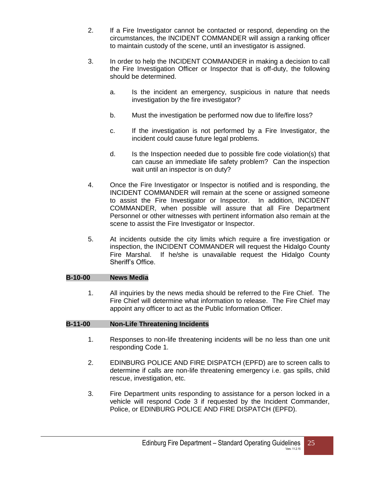- 2. If a Fire Investigator cannot be contacted or respond, depending on the circumstances, the INCIDENT COMMANDER will assign a ranking officer to maintain custody of the scene, until an investigator is assigned.
- 3. In order to help the INCIDENT COMMANDER in making a decision to call the Fire Investigation Officer or Inspector that is off-duty, the following should be determined.
	- a. Is the incident an emergency, suspicious in nature that needs investigation by the fire investigator?
	- b. Must the investigation be performed now due to life/fire loss?
	- c. If the investigation is not performed by a Fire Investigator, the incident could cause future legal problems.
	- d. Is the Inspection needed due to possible fire code violation(s) that can cause an immediate life safety problem? Can the inspection wait until an inspector is on duty?
- 4. Once the Fire Investigator or Inspector is notified and is responding, the INCIDENT COMMANDER will remain at the scene or assigned someone to assist the Fire Investigator or Inspector. In addition, INCIDENT COMMANDER, when possible will assure that all Fire Department Personnel or other witnesses with pertinent information also remain at the scene to assist the Fire Investigator or Inspector.
- 5. At incidents outside the city limits which require a fire investigation or inspection, the INCIDENT COMMANDER will request the Hidalgo County Fire Marshal. If he/she is unavailable request the Hidalgo County Sheriff's Office.

#### **B-10-00 News Media**

1. All inquiries by the news media should be referred to the Fire Chief. The Fire Chief will determine what information to release. The Fire Chief may appoint any officer to act as the Public Information Officer.

#### **B-11-00 Non-Life Threatening Incidents**

- 1. Responses to non-life threatening incidents will be no less than one unit responding Code 1.
- 2. EDINBURG POLICE AND FIRE DISPATCH (EPFD) are to screen calls to determine if calls are non-life threatening emergency i.e. gas spills, child rescue, investigation, etc.
- 3. Fire Department units responding to assistance for a person locked in a vehicle will respond Code 3 if requested by the Incident Commander, Police, or EDINBURG POLICE AND FIRE DISPATCH (EPFD).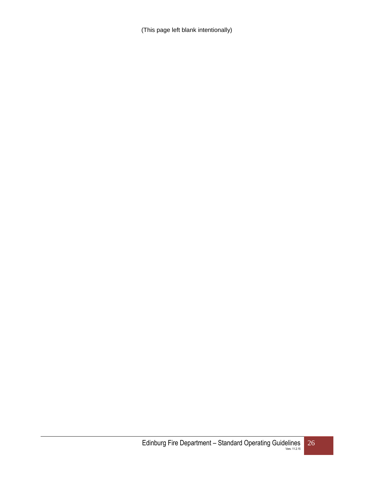(This page left blank intentionally)

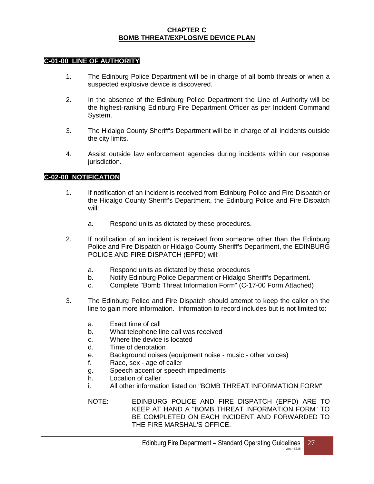#### **CHAPTER C BOMB THREAT/EXPLOSIVE DEVICE PLAN**

#### **C-01-00 LINE OF AUTHORITY**

- 1. The Edinburg Police Department will be in charge of all bomb threats or when a suspected explosive device is discovered.
- 2. In the absence of the Edinburg Police Department the Line of Authority will be the highest-ranking Edinburg Fire Department Officer as per Incident Command System.
- 3. The Hidalgo County Sheriff's Department will be in charge of all incidents outside the city limits.
- 4. Assist outside law enforcement agencies during incidents within our response jurisdiction.

#### **C-02-00 NOTIFICATION**

- 1. If notification of an incident is received from Edinburg Police and Fire Dispatch or the Hidalgo County Sheriff's Department, the Edinburg Police and Fire Dispatch will:
	- a. Respond units as dictated by these procedures.
- 2. If notification of an incident is received from someone other than the Edinburg Police and Fire Dispatch or Hidalgo County Sheriff's Department, the EDINBURG POLICE AND FIRE DISPATCH (EPFD) will:
	- a. Respond units as dictated by these procedures
	- b. Notify Edinburg Police Department or Hidalgo Sheriff's Department.
	- c. Complete "Bomb Threat Information Form" (C-17-00 Form Attached)
- 3. The Edinburg Police and Fire Dispatch should attempt to keep the caller on the line to gain more information. Information to record includes but is not limited to:
	- a. Exact time of call
	- b. What telephone line call was received
	- c. Where the device is located
	- d. Time of denotation
	- e. Background noises (equipment noise music other voices)
	- f. Race, sex age of caller
	- g. Speech accent or speech impediments
	- h. Location of caller
	- i. All other information listed on "BOMB THREAT INFORMATION FORM"
	- NOTE: EDINBURG POLICE AND FIRE DISPATCH (EPFD) ARE TO KEEP AT HAND A "BOMB THREAT INFORMATION FORM" TO BE COMPLETED ON EACH INCIDENT AND FORWARDED TO THE FIRE MARSHAL'S OFFICE.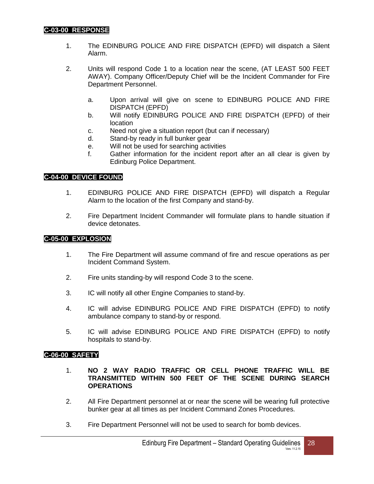#### **C-03-00 RESPONSE**

- 1. The EDINBURG POLICE AND FIRE DISPATCH (EPFD) will dispatch a Silent Alarm.
- 2. Units will respond Code 1 to a location near the scene, (AT LEAST 500 FEET AWAY). Company Officer/Deputy Chief will be the Incident Commander for Fire Department Personnel.
	- a. Upon arrival will give on scene to EDINBURG POLICE AND FIRE DISPATCH (EPFD)
	- b. Will notify EDINBURG POLICE AND FIRE DISPATCH (EPFD) of their location
	- c. Need not give a situation report (but can if necessary)
	- d. Stand-by ready in full bunker gear
	- e. Will not be used for searching activities
	- f. Gather information for the incident report after an all clear is given by Edinburg Police Department.

#### **C-04-00 DEVICE FOUND**

- 1. EDINBURG POLICE AND FIRE DISPATCH (EPFD) will dispatch a Regular Alarm to the location of the first Company and stand-by.
- 2. Fire Department Incident Commander will formulate plans to handle situation if device detonates.

#### **C-05-00 EXPLOSION**

- 1. The Fire Department will assume command of fire and rescue operations as per Incident Command System.
- 2. Fire units standing-by will respond Code 3 to the scene.
- 3. IC will notify all other Engine Companies to stand-by.
- 4. IC will advise EDINBURG POLICE AND FIRE DISPATCH (EPFD) to notify ambulance company to stand-by or respond.
- 5. IC will advise EDINBURG POLICE AND FIRE DISPATCH (EPFD) to notify hospitals to stand-by.

#### **C-06-00 SAFETY**

- 1. **NO 2 WAY RADIO TRAFFIC OR CELL PHONE TRAFFIC WILL BE TRANSMITTED WITHIN 500 FEET OF THE SCENE DURING SEARCH OPERATIONS**
- 2. All Fire Department personnel at or near the scene will be wearing full protective bunker gear at all times as per Incident Command Zones Procedures.
- 3. Fire Department Personnel will not be used to search for bomb devices.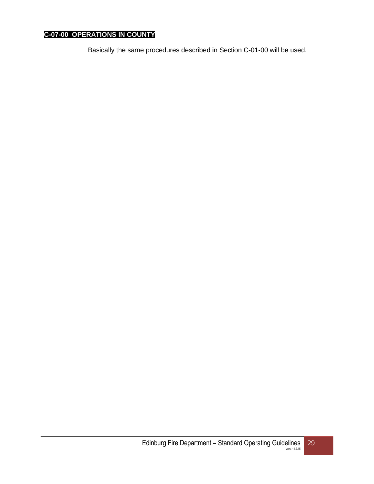### **C-07-00 OPERATIONS IN COUNTY**

Basically the same procedures described in Section C-01-00 will be used.

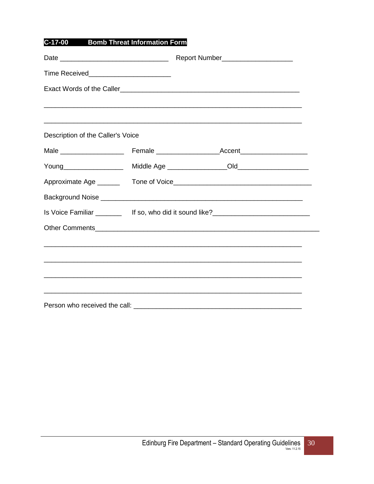|                                   |  | Report Number____________________                                                |  |
|-----------------------------------|--|----------------------------------------------------------------------------------|--|
|                                   |  |                                                                                  |  |
|                                   |  |                                                                                  |  |
|                                   |  |                                                                                  |  |
| Description of the Caller's Voice |  |                                                                                  |  |
|                                   |  |                                                                                  |  |
|                                   |  |                                                                                  |  |
| Approximate Age ______            |  |                                                                                  |  |
|                                   |  |                                                                                  |  |
|                                   |  | Is Voice Familiar ___________ If so, who did it sound like?_____________________ |  |
|                                   |  |                                                                                  |  |
|                                   |  |                                                                                  |  |
|                                   |  |                                                                                  |  |
|                                   |  |                                                                                  |  |
|                                   |  |                                                                                  |  |
| Person who received the call:     |  |                                                                                  |  |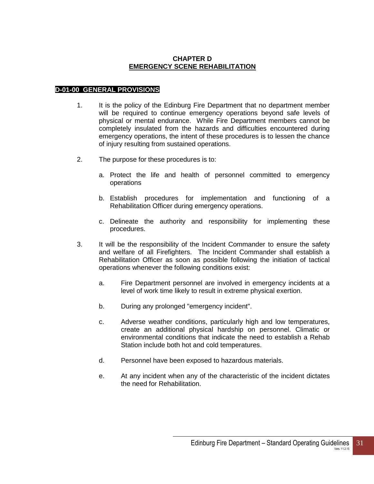#### **CHAPTER D EMERGENCY SCENE REHABILITATION**

#### **D-01-00 GENERAL PROVISIONS**

- 1. It is the policy of the Edinburg Fire Department that no department member will be required to continue emergency operations beyond safe levels of physical or mental endurance. While Fire Department members cannot be completely insulated from the hazards and difficulties encountered during emergency operations, the intent of these procedures is to lessen the chance of injury resulting from sustained operations.
- 2. The purpose for these procedures is to:
	- a. Protect the life and health of personnel committed to emergency operations
	- b. Establish procedures for implementation and functioning of a Rehabilitation Officer during emergency operations.
	- c. Delineate the authority and responsibility for implementing these procedures.
- 3. It will be the responsibility of the Incident Commander to ensure the safety and welfare of all Firefighters. The Incident Commander shall establish a Rehabilitation Officer as soon as possible following the initiation of tactical operations whenever the following conditions exist:
	- a. Fire Department personnel are involved in emergency incidents at a level of work time likely to result in extreme physical exertion.
	- b. During any prolonged "emergency incident".
	- c. Adverse weather conditions, particularly high and low temperatures, create an additional physical hardship on personnel. Climatic or environmental conditions that indicate the need to establish a Rehab Station include both hot and cold temperatures.
	- d. Personnel have been exposed to hazardous materials.
	- e. At any incident when any of the characteristic of the incident dictates the need for Rehabilitation.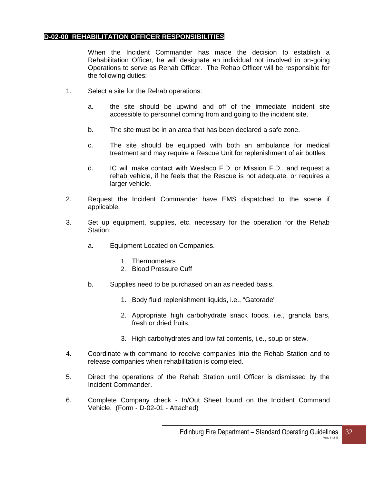#### **D-02-00 REHABILITATION OFFICER RESPONSIBILITIES**

When the Incident Commander has made the decision to establish a Rehabilitation Officer, he will designate an individual not involved in on-going Operations to serve as Rehab Officer. The Rehab Officer will be responsible for the following duties:

- 1. Select a site for the Rehab operations:
	- a. the site should be upwind and off of the immediate incident site accessible to personnel coming from and going to the incident site.
	- b. The site must be in an area that has been declared a safe zone.
	- c. The site should be equipped with both an ambulance for medical treatment and may require a Rescue Unit for replenishment of air bottles.
	- d. IC will make contact with Weslaco F.D. or Mission F.D., and request a rehab vehicle, if he feels that the Rescue is not adequate, or requires a larger vehicle.
- 2. Request the Incident Commander have EMS dispatched to the scene if applicable.
- 3. Set up equipment, supplies, etc. necessary for the operation for the Rehab Station:
	- a. Equipment Located on Companies.
		- 1. Thermometers
		- 2. Blood Pressure Cuff
	- b. Supplies need to be purchased on an as needed basis.
		- 1. Body fluid replenishment liquids, i.e., "Gatorade"
		- 2. Appropriate high carbohydrate snack foods, i.e., granola bars, fresh or dried fruits.
		- 3. High carbohydrates and low fat contents, i.e., soup or stew.
- 4. Coordinate with command to receive companies into the Rehab Station and to release companies when rehabilitation is completed.
- 5. Direct the operations of the Rehab Station until Officer is dismissed by the Incident Commander.
- 6. Complete Company check In/Out Sheet found on the Incident Command Vehicle. (Form - D-02-01 - Attached)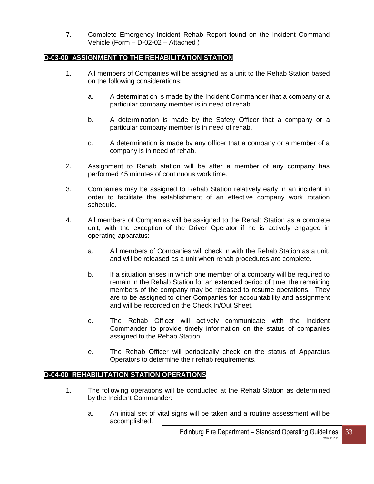7. Complete Emergency Incident Rehab Report found on the Incident Command Vehicle (Form – D-02-02 – Attached )

#### **D-03-00 ASSIGNMENT TO THE REHABILITATION STATION**

- 1. All members of Companies will be assigned as a unit to the Rehab Station based on the following considerations:
	- a. A determination is made by the Incident Commander that a company or a particular company member is in need of rehab.
	- b. A determination is made by the Safety Officer that a company or a particular company member is in need of rehab.
	- c. A determination is made by any officer that a company or a member of a company is in need of rehab.
- 2. Assignment to Rehab station will be after a member of any company has performed 45 minutes of continuous work time.
- 3. Companies may be assigned to Rehab Station relatively early in an incident in order to facilitate the establishment of an effective company work rotation schedule.
- 4. All members of Companies will be assigned to the Rehab Station as a complete unit, with the exception of the Driver Operator if he is actively engaged in operating apparatus:
	- a. All members of Companies will check in with the Rehab Station as a unit, and will be released as a unit when rehab procedures are complete.
	- b. If a situation arises in which one member of a company will be required to remain in the Rehab Station for an extended period of time, the remaining members of the company may be released to resume operations. They are to be assigned to other Companies for accountability and assignment and will be recorded on the Check In/Out Sheet.
	- c. The Rehab Officer will actively communicate with the Incident Commander to provide timely information on the status of companies assigned to the Rehab Station.
	- e. The Rehab Officer will periodically check on the status of Apparatus Operators to determine their rehab requirements.

#### **D-04-00 REHABILITATION STATION OPERATIONS**

- 1. The following operations will be conducted at the Rehab Station as determined by the Incident Commander:
	- a. An initial set of vital signs will be taken and a routine assessment will be accomplished.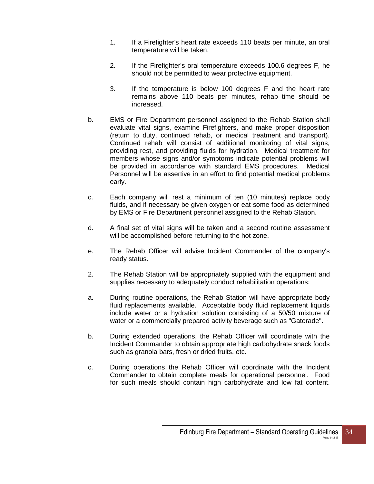- 1. If a Firefighter's heart rate exceeds 110 beats per minute, an oral temperature will be taken.
- 2. If the Firefighter's oral temperature exceeds 100.6 degrees F, he should not be permitted to wear protective equipment.
- 3. If the temperature is below 100 degrees F and the heart rate remains above 110 beats per minutes, rehab time should be increased.
- b. EMS or Fire Department personnel assigned to the Rehab Station shall evaluate vital signs, examine Firefighters, and make proper disposition (return to duty, continued rehab, or medical treatment and transport). Continued rehab will consist of additional monitoring of vital signs, providing rest, and providing fluids for hydration. Medical treatment for members whose signs and/or symptoms indicate potential problems will be provided in accordance with standard EMS procedures. Medical Personnel will be assertive in an effort to find potential medical problems early.
- c. Each company will rest a minimum of ten (10 minutes) replace body fluids, and if necessary be given oxygen or eat some food as determined by EMS or Fire Department personnel assigned to the Rehab Station.
- d. A final set of vital signs will be taken and a second routine assessment will be accomplished before returning to the hot zone.
- e. The Rehab Officer will advise Incident Commander of the company's ready status.
- 2. The Rehab Station will be appropriately supplied with the equipment and supplies necessary to adequately conduct rehabilitation operations:
- a. During routine operations, the Rehab Station will have appropriate body fluid replacements available. Acceptable body fluid replacement liquids include water or a hydration solution consisting of a 50/50 mixture of water or a commercially prepared activity beverage such as "Gatorade".
- b. During extended operations, the Rehab Officer will coordinate with the Incident Commander to obtain appropriate high carbohydrate snack foods such as granola bars, fresh or dried fruits, etc.
- c. During operations the Rehab Officer will coordinate with the Incident Commander to obtain complete meals for operational personnel. Food for such meals should contain high carbohydrate and low fat content.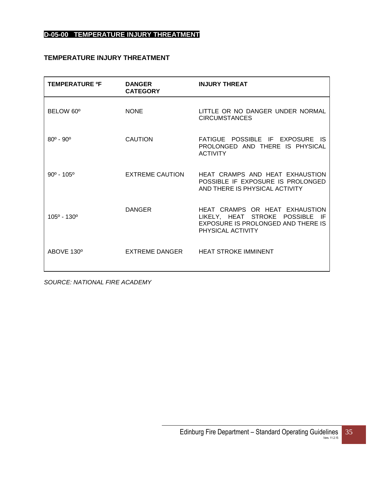#### **D-05-00 TEMPERATURE INJURY THREATMENT**

#### **TEMPERATURE INJURY THREATMENT**

| TEMPERATURE ºF              | <b>DANGER</b><br><b>CATEGORY</b> | <b>INJURY THREAT</b>                                                                                                      |
|-----------------------------|----------------------------------|---------------------------------------------------------------------------------------------------------------------------|
| BELOW 60°                   | <b>NONE</b>                      | LITTLE OR NO DANGER UNDER NORMAL<br><b>CIRCUMSTANCES</b>                                                                  |
| $80^{\circ} - 90^{\circ}$   | <b>CAUTION</b>                   | FATIGUE POSSIBLE IF EXPOSURE<br>- IS<br>PROLONGED AND THERE IS PHYSICAL<br><b>ACTIVITY</b>                                |
| $90^{\circ}$ - 105°         | <b>EXTREME CAUTION</b>           | HEAT CRAMPS AND HEAT EXHAUSTION<br>POSSIBLE IF EXPOSURE IS PROLONGED<br>AND THERE IS PHYSICAL ACTIVITY                    |
| $105^{\circ} - 130^{\circ}$ | <b>DANGER</b>                    | HEAT CRAMPS OR HEAT EXHAUSTION<br>LIKELY, HEAT STROKE POSSIBLE<br>EXPOSURE IS PROLONGED AND THERE IS<br>PHYSICAL ACTIVITY |
| ABOVE 130 <sup>°</sup>      |                                  | EXTREME DANGER HEAT STROKE IMMINENT                                                                                       |

*SOURCE: NATIONAL FIRE ACADEMY*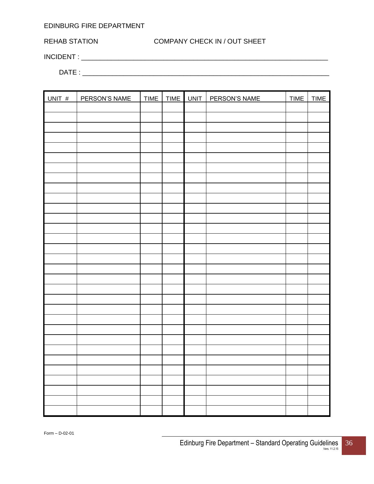#### EDINBURG FIRE DEPARTMENT

#### REHAB STATION COMPANY CHECK IN / OUT SHEET

 $INCIDENT: \_\_$ 

DATE : \_\_\_\_\_\_\_\_\_\_\_\_\_\_\_\_\_\_\_\_\_\_\_\_\_\_\_\_\_\_\_\_\_\_\_\_\_\_\_\_\_\_\_\_\_\_\_\_\_\_\_\_\_\_\_\_\_\_\_\_\_\_\_\_\_\_

| UNIT # PERSON'S NAME | <b>TIME</b> |  | TIME UNIT PERSON'S NAME | <b>TIME</b> | <b>TIME</b> |
|----------------------|-------------|--|-------------------------|-------------|-------------|
|                      |             |  |                         |             |             |
|                      |             |  |                         |             |             |
|                      |             |  |                         |             |             |
|                      |             |  |                         |             |             |
|                      |             |  |                         |             |             |
|                      |             |  |                         |             |             |
|                      |             |  |                         |             |             |
|                      |             |  |                         |             |             |
|                      |             |  |                         |             |             |
|                      |             |  |                         |             |             |
|                      |             |  |                         |             |             |
|                      |             |  |                         |             |             |
|                      |             |  |                         |             |             |
|                      |             |  |                         |             |             |
|                      |             |  |                         |             |             |
|                      |             |  |                         |             |             |
|                      |             |  |                         |             |             |
|                      |             |  |                         |             |             |
|                      |             |  |                         |             |             |
|                      |             |  |                         |             |             |
|                      |             |  |                         |             |             |
|                      |             |  |                         |             |             |
|                      |             |  |                         |             |             |
|                      |             |  |                         |             |             |
|                      |             |  |                         |             |             |
|                      |             |  |                         |             |             |
|                      |             |  |                         |             |             |
|                      |             |  |                         |             |             |
|                      |             |  |                         |             |             |
|                      |             |  |                         |             |             |
|                      |             |  |                         |             |             |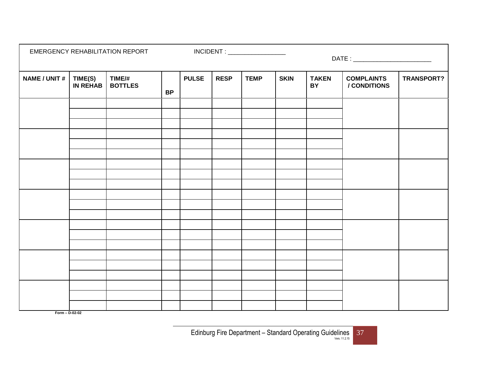|               |                            | EMERGENCY REHABILITATION REPORT |           |              |             | $INCIDENT: \begin{tabular}{ c c c } \hline \hline \hline \hline \end{tabular}$ |             |                    | DATE : __________________________ |            |
|---------------|----------------------------|---------------------------------|-----------|--------------|-------------|--------------------------------------------------------------------------------|-------------|--------------------|-----------------------------------|------------|
| NAME / UNIT # | TIME(S)<br><b>IN REHAB</b> | TIME/#<br><b>BOTTLES</b>        | <b>BP</b> | <b>PULSE</b> | <b>RESP</b> | <b>TEMP</b>                                                                    | <b>SKIN</b> | <b>TAKEN</b><br>BY | <b>COMPLAINTS</b><br>/ CONDITIONS | TRANSPORT? |
|               |                            |                                 |           |              |             |                                                                                |             |                    |                                   |            |
|               |                            |                                 |           |              |             |                                                                                |             |                    |                                   |            |
|               |                            |                                 |           |              |             |                                                                                |             |                    |                                   |            |
|               |                            |                                 |           |              |             |                                                                                |             |                    |                                   |            |
|               |                            |                                 |           |              |             |                                                                                |             |                    |                                   |            |
|               |                            |                                 |           |              |             |                                                                                |             |                    |                                   |            |
|               |                            |                                 |           |              |             |                                                                                |             |                    |                                   |            |
|               |                            |                                 |           |              |             |                                                                                |             |                    |                                   |            |

**Form – D-02-02**

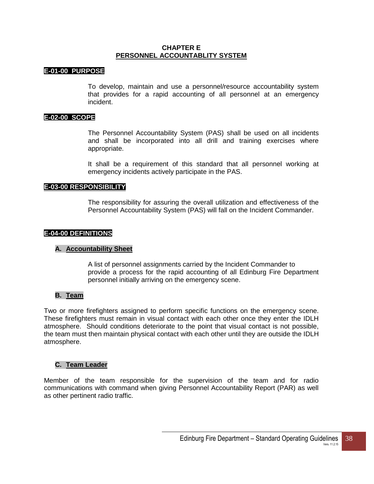#### **CHAPTER E PERSONNEL ACCOUNTABLITY SYSTEM**

#### **E-01-00 PURPOSE**

To develop, maintain and use a personnel/resource accountability system that provides for a rapid accounting of all personnel at an emergency incident.

#### **E-02-00 SCOPE**

The Personnel Accountability System (PAS) shall be used on all incidents and shall be incorporated into all drill and training exercises where appropriate.

It shall be a requirement of this standard that all personnel working at emergency incidents actively participate in the PAS.

#### **E-03-00 RESPONSIBILITY**

The responsibility for assuring the overall utilization and effectiveness of the Personnel Accountability System (PAS) will fall on the Incident Commander.

### **E-04-00 DEFINITIONS**

### **A. Accountability Sheet**

A list of personnel assignments carried by the Incident Commander to provide a process for the rapid accounting of all Edinburg Fire Department personnel initially arriving on the emergency scene.

#### **B. Team**

Two or more firefighters assigned to perform specific functions on the emergency scene. These firefighters must remain in visual contact with each other once they enter the IDLH atmosphere. Should conditions deteriorate to the point that visual contact is not possible, the team must then maintain physical contact with each other until they are outside the IDLH atmosphere.

#### **C. Team Leader**

Member of the team responsible for the supervision of the team and for radio communications with command when giving Personnel Accountability Report (PAR) as well as other pertinent radio traffic.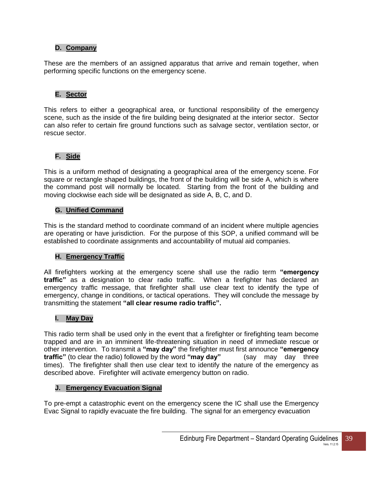# **D. Company**

These are the members of an assigned apparatus that arrive and remain together, when performing specific functions on the emergency scene.

# **E. Sector**

This refers to either a geographical area, or functional responsibility of the emergency scene, such as the inside of the fire building being designated at the interior sector. Sector can also refer to certain fire ground functions such as salvage sector, ventilation sector, or rescue sector.

# **F. Side**

This is a uniform method of designating a geographical area of the emergency scene. For square or rectangle shaped buildings, the front of the building will be side A, which is where the command post will normally be located. Starting from the front of the building and moving clockwise each side will be designated as side A, B, C, and D.

# **G. Unified Command**

This is the standard method to coordinate command of an incident where multiple agencies are operating or have jurisdiction. For the purpose of this SOP, a unified command will be established to coordinate assignments and accountability of mutual aid companies.

# **H. Emergency Traffic**

All firefighters working at the emergency scene shall use the radio term **"emergency traffic"** as a designation to clear radio traffic. When a firefighter has declared an emergency traffic message, that firefighter shall use clear text to identify the type of emergency, change in conditions, or tactical operations. They will conclude the message by transmitting the statement **"all clear resume radio traffic".**

### **I. May Day**

This radio term shall be used only in the event that a firefighter or firefighting team become trapped and are in an imminent life-threatening situation in need of immediate rescue or other intervention. To transmit a **"may day"** the firefighter must first announce **"emergency traffic"** (to clear the radio) followed by the word **"may day"** (say may day three times). The firefighter shall then use clear text to identify the nature of the emergency as described above. Firefighter will activate emergency button on radio.

### **J. Emergency Evacuation Signal**

To pre-empt a catastrophic event on the emergency scene the IC shall use the Emergency Evac Signal to rapidly evacuate the fire building. The signal for an emergency evacuation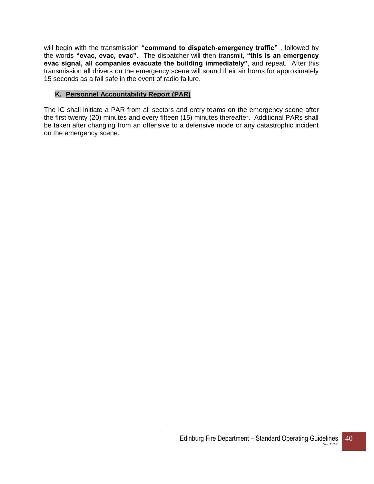will begin with the transmission **"command to dispatch-emergency traffic"** , followed by the words **"evac, evac, evac".** The dispatcher will then transmit, **"this is an emergency evac signal, all companies evacuate the building immediately"**, and repeat. After this transmission all drivers on the emergency scene will sound their air horns for approximately 15 seconds as a fail safe in the event of radio failure.

# **K. Personnel Accountability Report (PAR)**

The IC shall initiate a PAR from all sectors and entry teams on the emergency scene after the first twenty (20) minutes and every fifteen (15) minutes thereafter. Additional PARs shall be taken after changing from an offensive to a defensive mode or any catastrophic incident on the emergency scene.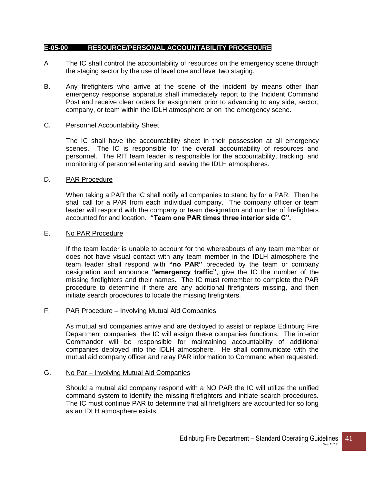### **E-05-00 RESOURCE/PERSONAL ACCOUNTABILITY PROCEDURE**

- A The IC shall control the accountability of resources on the emergency scene through the staging sector by the use of level one and level two staging.
- B. Any firefighters who arrive at the scene of the incident by means other than emergency response apparatus shall immediately report to the Incident Command Post and receive clear orders for assignment prior to advancing to any side, sector, company, or team within the IDLH atmosphere or on the emergency scene.
- C. Personnel Accountability Sheet

The IC shall have the accountability sheet in their possession at all emergency scenes. The IC is responsible for the overall accountability of resources and personnel. The RIT team leader is responsible for the accountability, tracking, and monitoring of personnel entering and leaving the IDLH atmospheres.

#### D. PAR Procedure

When taking a PAR the IC shall notify all companies to stand by for a PAR. Then he shall call for a PAR from each individual company. The company officer or team leader will respond with the company or team designation and number of firefighters accounted for and location. **"Team one PAR times three interior side C".**

### E. No PAR Procedure

If the team leader is unable to account for the whereabouts of any team member or does not have visual contact with any team member in the IDLH atmosphere the team leader shall respond with **"no PAR"** preceded by the team or company designation and announce **"emergency traffic"**, give the IC the number of the missing firefighters and their names. The IC must remember to complete the PAR procedure to determine if there are any additional firefighters missing, and then initiate search procedures to locate the missing firefighters.

### F. PAR Procedure – Involving Mutual Aid Companies

As mutual aid companies arrive and are deployed to assist or replace Edinburg Fire Department companies, the IC will assign these companies functions. The interior Commander will be responsible for maintaining accountability of additional companies deployed into the IDLH atmosphere. He shall communicate with the mutual aid company officer and relay PAR information to Command when requested.

### G. No Par – Involving Mutual Aid Companies

Should a mutual aid company respond with a NO PAR the IC will utilize the unified command system to identify the missing firefighters and initiate search procedures. The IC must continue PAR to determine that all firefighters are accounted for so long as an IDLH atmosphere exists.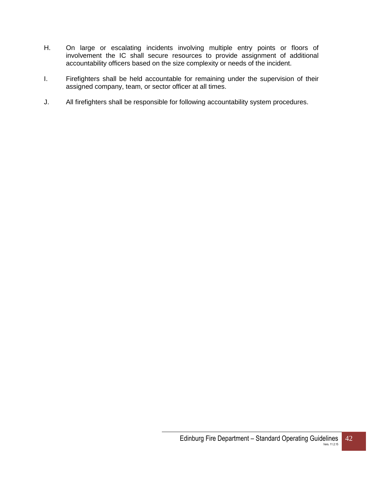- H. On large or escalating incidents involving multiple entry points or floors of involvement the IC shall secure resources to provide assignment of additional accountability officers based on the size complexity or needs of the incident.
- I. Firefighters shall be held accountable for remaining under the supervision of their assigned company, team, or sector officer at all times.
- J. All firefighters shall be responsible for following accountability system procedures.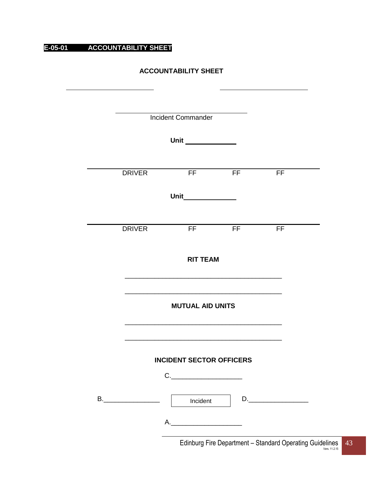# **E-05-01 ACCOUNTABILITY SHEET**

|               | <b>ACCOUNTABILITY SHEET</b>     |           |           |
|---------------|---------------------------------|-----------|-----------|
|               |                                 |           |           |
|               | Incident Commander              |           |           |
|               |                                 |           |           |
|               |                                 |           |           |
| <b>DRIVER</b> | <b>FF</b>                       | <b>FF</b> | <b>FF</b> |
|               |                                 |           |           |
|               |                                 |           |           |
| <b>DRIVER</b> | <b>FF</b>                       | <b>FF</b> | FF        |
|               |                                 |           |           |
|               | <b>RIT TEAM</b>                 |           |           |
|               |                                 |           |           |
|               | <b>MUTUAL AID UNITS</b>         |           |           |
|               |                                 |           |           |
|               |                                 |           |           |
|               | <b>INCIDENT SECTOR OFFICERS</b> |           |           |
|               | C.                              |           |           |
| B.            |                                 |           | D.        |
|               | Incident                        |           |           |
|               | $A. \underline{\hspace{2cm}}$   |           |           |

Edinburg Fire Department – Standard Operating Guidelines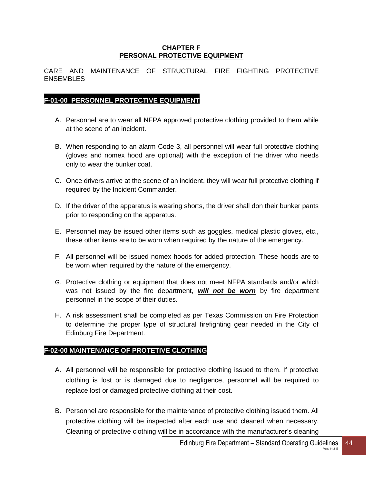## **CHAPTER F PERSONAL PROTECTIVE EQUIPMENT**

## CARE AND MAINTENANCE OF STRUCTURAL FIRE FIGHTING PROTECTIVE ENSEMBLES

# **F-01-00 PERSONNEL PROTECTIVE EQUIPMENT**

- A. Personnel are to wear all NFPA approved protective clothing provided to them while at the scene of an incident.
- B. When responding to an alarm Code 3, all personnel will wear full protective clothing (gloves and nomex hood are optional) with the exception of the driver who needs only to wear the bunker coat.
- C. Once drivers arrive at the scene of an incident, they will wear full protective clothing if required by the Incident Commander.
- D. If the driver of the apparatus is wearing shorts, the driver shall don their bunker pants prior to responding on the apparatus.
- E. Personnel may be issued other items such as goggles, medical plastic gloves, etc., these other items are to be worn when required by the nature of the emergency.
- F. All personnel will be issued nomex hoods for added protection. These hoods are to be worn when required by the nature of the emergency.
- G. Protective clothing or equipment that does not meet NFPA standards and/or which was not issued by the fire department, *will not be worn* by fire department personnel in the scope of their duties.
- H. A risk assessment shall be completed as per Texas Commission on Fire Protection to determine the proper type of structural firefighting gear needed in the City of Edinburg Fire Department.

# **F-02-00 MAINTENANCE OF PROTETIVE CLOTHING**

- A. All personnel will be responsible for protective clothing issued to them. If protective clothing is lost or is damaged due to negligence, personnel will be required to replace lost or damaged protective clothing at their cost.
- B. Personnel are responsible for the maintenance of protective clothing issued them. All protective clothing will be inspected after each use and cleaned when necessary. Cleaning of protective clothing will be in accordance with the manufacturer's cleaning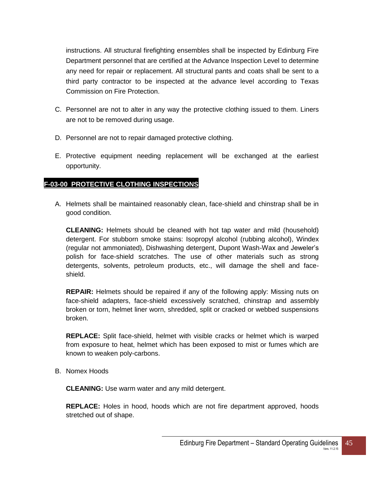instructions. All structural firefighting ensembles shall be inspected by Edinburg Fire Department personnel that are certified at the Advance Inspection Level to determine any need for repair or replacement. All structural pants and coats shall be sent to a third party contractor to be inspected at the advance level according to Texas Commission on Fire Protection.

- C. Personnel are not to alter in any way the protective clothing issued to them. Liners are not to be removed during usage.
- D. Personnel are not to repair damaged protective clothing.
- E. Protective equipment needing replacement will be exchanged at the earliest opportunity.

# **F-03-00 PROTECTIVE CLOTHING INSPECTIONS**

A. Helmets shall be maintained reasonably clean, face-shield and chinstrap shall be in good condition.

**CLEANING:** Helmets should be cleaned with hot tap water and mild (household) detergent. For stubborn smoke stains: Isopropyl alcohol (rubbing alcohol), Windex (regular not ammoniated), Dishwashing detergent, Dupont Wash-Wax and Jeweler's polish for face-shield scratches. The use of other materials such as strong detergents, solvents, petroleum products, etc., will damage the shell and faceshield.

**REPAIR:** Helmets should be repaired if any of the following apply: Missing nuts on face-shield adapters, face-shield excessively scratched, chinstrap and assembly broken or torn, helmet liner worn, shredded, split or cracked or webbed suspensions broken.

**REPLACE:** Split face-shield, helmet with visible cracks or helmet which is warped from exposure to heat, helmet which has been exposed to mist or fumes which are known to weaken poly-carbons.

B. Nomex Hoods

**CLEANING:** Use warm water and any mild detergent.

**REPLACE:** Holes in hood, hoods which are not fire department approved, hoods stretched out of shape.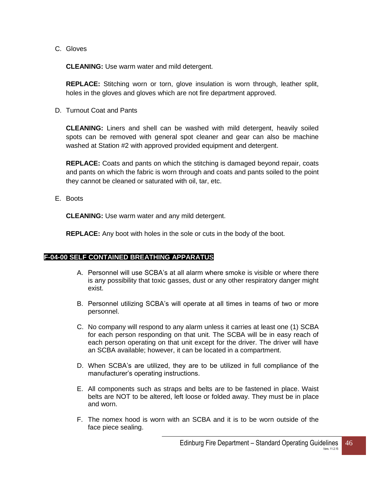C. Gloves

**CLEANING:** Use warm water and mild detergent.

**REPLACE:** Stitching worn or torn, glove insulation is worn through, leather split, holes in the gloves and gloves which are not fire department approved.

D. Turnout Coat and Pants

**CLEANING:** Liners and shell can be washed with mild detergent, heavily soiled spots can be removed with general spot cleaner and gear can also be machine washed at Station #2 with approved provided equipment and detergent.

**REPLACE:** Coats and pants on which the stitching is damaged beyond repair, coats and pants on which the fabric is worn through and coats and pants soiled to the point they cannot be cleaned or saturated with oil, tar, etc.

E. Boots

**CLEANING:** Use warm water and any mild detergent.

**REPLACE:** Any boot with holes in the sole or cuts in the body of the boot.

# **F-04-00 SELF CONTAINED BREATHING APPARATUS**

- A. Personnel will use SCBA's at all alarm where smoke is visible or where there is any possibility that toxic gasses, dust or any other respiratory danger might exist.
- B. Personnel utilizing SCBA's will operate at all times in teams of two or more personnel.
- C. No company will respond to any alarm unless it carries at least one (1) SCBA for each person responding on that unit. The SCBA will be in easy reach of each person operating on that unit except for the driver. The driver will have an SCBA available; however, it can be located in a compartment.
- D. When SCBA's are utilized, they are to be utilized in full compliance of the manufacturer's operating instructions.
- E. All components such as straps and belts are to be fastened in place. Waist belts are NOT to be altered, left loose or folded away. They must be in place and worn.
- F. The nomex hood is worn with an SCBA and it is to be worn outside of the face piece sealing.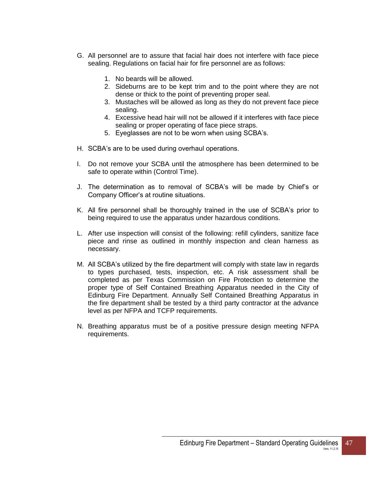- G. All personnel are to assure that facial hair does not interfere with face piece sealing. Regulations on facial hair for fire personnel are as follows:
	- 1. No beards will be allowed.
	- 2. Sideburns are to be kept trim and to the point where they are not dense or thick to the point of preventing proper seal.
	- 3. Mustaches will be allowed as long as they do not prevent face piece sealing.
	- 4. Excessive head hair will not be allowed if it interferes with face piece sealing or proper operating of face piece straps.
	- 5. Eyeglasses are not to be worn when using SCBA's.
- H. SCBA's are to be used during overhaul operations.
- I. Do not remove your SCBA until the atmosphere has been determined to be safe to operate within (Control Time).
- J. The determination as to removal of SCBA's will be made by Chief's or Company Officer's at routine situations.
- K. All fire personnel shall be thoroughly trained in the use of SCBA's prior to being required to use the apparatus under hazardous conditions.
- L. After use inspection will consist of the following: refill cylinders, sanitize face piece and rinse as outlined in monthly inspection and clean harness as necessary.
- M. All SCBA's utilized by the fire department will comply with state law in regards to types purchased, tests, inspection, etc. A risk assessment shall be completed as per Texas Commission on Fire Protection to determine the proper type of Self Contained Breathing Apparatus needed in the City of Edinburg Fire Department. Annually Self Contained Breathing Apparatus in the fire department shall be tested by a third party contractor at the advance level as per NFPA and TCFP requirements.
- N. Breathing apparatus must be of a positive pressure design meeting NFPA requirements.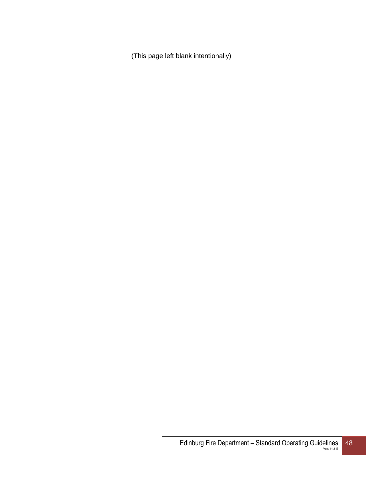(This page left blank intentionally)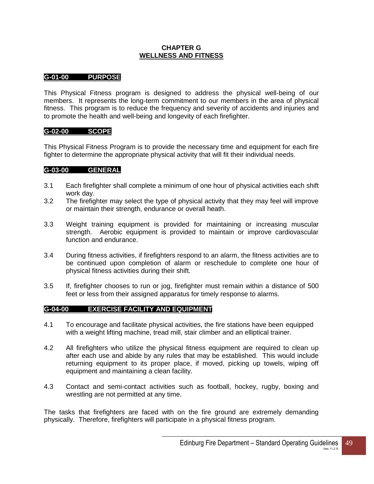### **CHAPTER G WELLNESS AND FITNESS**

#### **G-01-00 PURPOSE**

This Physical Fitness program is designed to address the physical well-being of our members. It represents the long-term commitment to our members in the area of physical fitness. This program is to reduce the frequency and severity of accidents and injuries and to promote the health and well-being and longevity of each firefighter.

#### **G-02-00 SCOPE**

This Physical Fitness Program is to provide the necessary time and equipment for each fire fighter to determine the appropriate physical activity that will fit their individual needs.

#### **G-03-00 GENERAL**

- 3.1 Each firefighter shall complete a minimum of one hour of physical activities each shift work day.
- 3.2 The firefighter may select the type of physical activity that they may feel will improve or maintain their strength, endurance or overall heath.
- 3.3 Weight training equipment is provided for maintaining or increasing muscular strength. Aerobic equipment is provided to maintain or improve cardiovascular function and endurance.
- 3.4 During fitness activities, if firefighters respond to an alarm, the fitness activities are to be continued upon completion of alarm or reschedule to complete one hour of physical fitness activities during their shift.
- 3.5 If, firefighter chooses to run or jog, firefighter must remain within a distance of 500 feet or less from their assigned apparatus for timely response to alarms.

#### **G-04-00 EXERCISE FACILITY AND EQUIPMENT**

- 4.1 To encourage and facilitate physical activities, the fire stations have been equipped with a weight lifting machine, tread mill, stair climber and an elliptical trainer.
- 4.2 All firefighters who utilize the physical fitness equipment are required to clean up after each use and abide by any rules that may be established. This would include returning equipment to its proper place, if moved, picking up towels, wiping off equipment and maintaining a clean facility.
- 4.3 Contact and semi-contact activities such as football, hockey, rugby, boxing and wrestling are not permitted at any time.

The tasks that firefighters are faced with on the fire ground are extremely demanding physically. Therefore, firefighters will participate in a physical fitness program.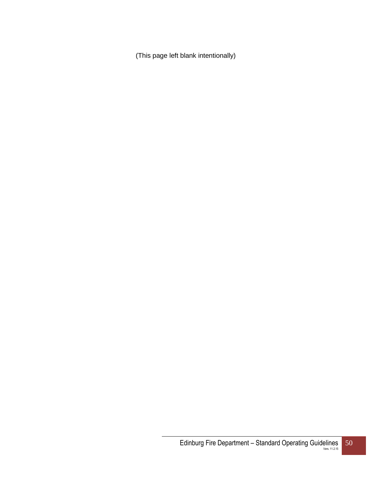(This page left blank intentionally)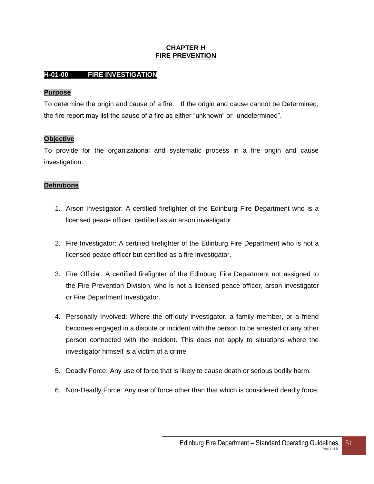## **CHAPTER H FIRE PREVENTION**

### **H-01-00 FIRE INVESTIGATION**

#### **Purpose**

To determine the origin and cause of a fire. If the origin and cause cannot be Determined, the fire report may list the cause of a fire as either "unknown" or "undetermined".

## **Objective**

To provide for the organizational and systematic process in a fire origin and cause investigation.

## **Definitions**

- 1. Arson Investigator: A certified firefighter of the Edinburg Fire Department who is a licensed peace officer, certified as an arson investigator.
- 2. Fire Investigator: A certified firefighter of the Edinburg Fire Department who is not a licensed peace officer but certified as a fire investigator.
- 3. Fire Official: A certified firefighter of the Edinburg Fire Department not assigned to the Fire Prevention Division, who is not a licensed peace officer, arson investigator or Fire Department investigator.
- 4. Personally Involved: Where the off-duty investigator, a family member, or a friend becomes engaged in a dispute or incident with the person to be arrested or any other person connected with the incident. This does not apply to situations where the investigator himself is a victim of a crime.
- 5. Deadly Force: Any use of force that is likely to cause death or serious bodily harm.
- 6. Non-Deadly Force: Any use of force other than that which is considered deadly force.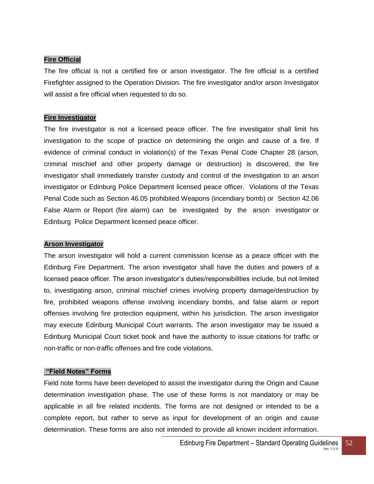### **Fire Official**

The fire official is not a certified fire or arson investigator. The fire official is a certified Firefighter assigned to the Operation Division. The fire investigator and/or arson Investigator will assist a fire official when requested to do so.

## **Fire Investigator**

The fire investigator is not a licensed peace officer. The fire investigator shall limit his investigation to the scope of practice on determining the origin and cause of a fire. If evidence of criminal conduct in violation(s) of the Texas Penal Code Chapter 28 (arson, criminal mischief and other property damage or destruction) is discovered, the fire investigator shall immediately transfer custody and control of the investigation to an arson investigator or Edinburg Police Department licensed peace officer. Violations of the Texas Penal Code such as Section 46.05 prohibited Weapons (incendiary bomb) or Section 42.06 False Alarm or Report (fire alarm) can be investigated by the arson investigator or Edinburg Police Department licensed peace officer.

# **Arson Investigator**

The arson investigator will hold a current commission license as a peace officer with the Edinburg Fire Department. The arson investigator shall have the duties and powers of a licensed peace officer. The arson investigator's duties/responsibilities include, but not limited to, investigating arson, criminal mischief crimes involving property damage/destruction by fire, prohibited weapons offense involving incendiary bombs, and false alarm or report offenses involving fire protection equipment, within his jurisdiction. The arson investigator may execute Edinburg Municipal Court warrants. The arson investigator may be issued a Edinburg Municipal Court ticket book and have the authority to issue citations for traffic or non-traffic or non-traffic offenses and fire code violations.

### **"Field Notes" Forms**

Field note forms have been developed to assist the investigator during the Origin and Cause determination investigation phase. The use of these forms is not mandatory or may be applicable in all fire related incidents. The forms are not designed or intended to be a complete report, but rather to serve as input for development of an origin and cause determination. These forms are also not intended to provide all known incident information.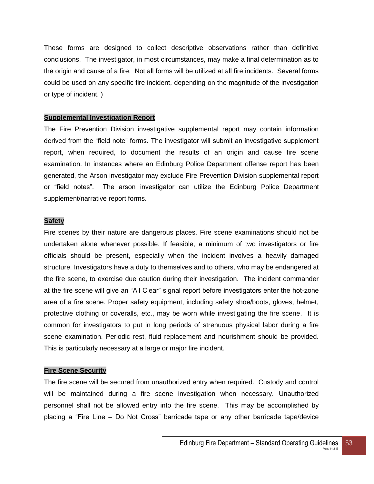These forms are designed to collect descriptive observations rather than definitive conclusions. The investigator, in most circumstances, may make a final determination as to the origin and cause of a fire. Not all forms will be utilized at all fire incidents. Several forms could be used on any specific fire incident, depending on the magnitude of the investigation or type of incident. )

#### **Supplemental Investigation Report**

The Fire Prevention Division investigative supplemental report may contain information derived from the "field note" forms. The investigator will submit an investigative supplement report, when required, to document the results of an origin and cause fire scene examination. In instances where an Edinburg Police Department offense report has been generated, the Arson investigator may exclude Fire Prevention Division supplemental report or "field notes". The arson investigator can utilize the Edinburg Police Department supplement/narrative report forms.

#### **Safety**

Fire scenes by their nature are dangerous places. Fire scene examinations should not be undertaken alone whenever possible. If feasible, a minimum of two investigators or fire officials should be present, especially when the incident involves a heavily damaged structure. Investigators have a duty to themselves and to others, who may be endangered at the fire scene, to exercise due caution during their investigation. The incident commander at the fire scene will give an "All Clear" signal report before investigators enter the hot-zone area of a fire scene. Proper safety equipment, including safety shoe/boots, gloves, helmet, protective clothing or coveralls, etc., may be worn while investigating the fire scene. It is common for investigators to put in long periods of strenuous physical labor during a fire scene examination. Periodic rest, fluid replacement and nourishment should be provided. This is particularly necessary at a large or major fire incident.

#### **Fire Scene Security**

The fire scene will be secured from unauthorized entry when required. Custody and control will be maintained during a fire scene investigation when necessary. Unauthorized personnel shall not be allowed entry into the fire scene. This may be accomplished by placing a "Fire Line – Do Not Cross" barricade tape or any other barricade tape/device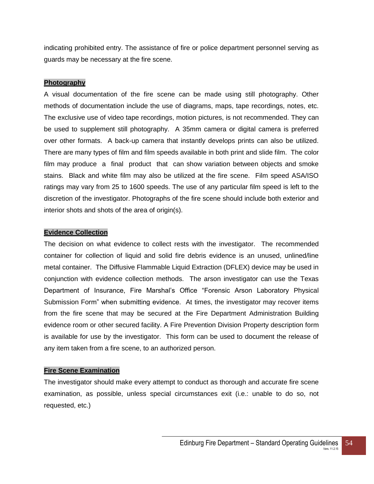indicating prohibited entry. The assistance of fire or police department personnel serving as guards may be necessary at the fire scene.

### **Photography**

A visual documentation of the fire scene can be made using still photography. Other methods of documentation include the use of diagrams, maps, tape recordings, notes, etc. The exclusive use of video tape recordings, motion pictures, is not recommended. They can be used to supplement still photography. A 35mm camera or digital camera is preferred over other formats. A back-up camera that instantly develops prints can also be utilized. There are many types of film and film speeds available in both print and slide film. The color film may produce a final product that can show variation between objects and smoke stains. Black and white film may also be utilized at the fire scene. Film speed ASA/ISO ratings may vary from 25 to 1600 speeds. The use of any particular film speed is left to the discretion of the investigator. Photographs of the fire scene should include both exterior and interior shots and shots of the area of origin(s).

### **Evidence Collection**

The decision on what evidence to collect rests with the investigator. The recommended container for collection of liquid and solid fire debris evidence is an unused, unlined/line metal container. The Diffusive Flammable Liquid Extraction (DFLEX) device may be used in conjunction with evidence collection methods. The arson investigator can use the Texas Department of Insurance, Fire Marshal's Office "Forensic Arson Laboratory Physical Submission Form" when submitting evidence. At times, the investigator may recover items from the fire scene that may be secured at the Fire Department Administration Building evidence room or other secured facility. A Fire Prevention Division Property description form is available for use by the investigator. This form can be used to document the release of any item taken from a fire scene, to an authorized person.

# **Fire Scene Examination**

The investigator should make every attempt to conduct as thorough and accurate fire scene examination, as possible, unless special circumstances exit (i.e.: unable to do so, not requested, etc.)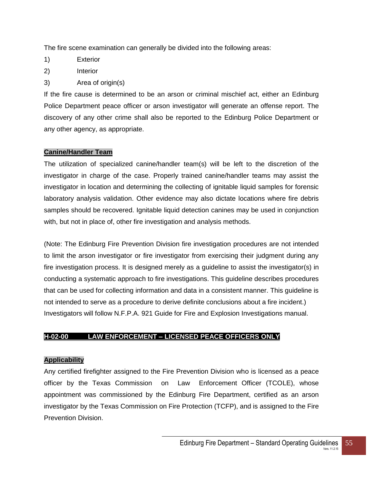The fire scene examination can generally be divided into the following areas:

- 1) Exterior
- 2) Interior
- 3) Area of origin(s)

If the fire cause is determined to be an arson or criminal mischief act, either an Edinburg Police Department peace officer or arson investigator will generate an offense report. The discovery of any other crime shall also be reported to the Edinburg Police Department or any other agency, as appropriate.

## **Canine/Handler Team**

The utilization of specialized canine/handler team(s) will be left to the discretion of the investigator in charge of the case. Properly trained canine/handler teams may assist the investigator in location and determining the collecting of ignitable liquid samples for forensic laboratory analysis validation. Other evidence may also dictate locations where fire debris samples should be recovered. Ignitable liquid detection canines may be used in conjunction with, but not in place of, other fire investigation and analysis methods.

(Note: The Edinburg Fire Prevention Division fire investigation procedures are not intended to limit the arson investigator or fire investigator from exercising their judgment during any fire investigation process. It is designed merely as a guideline to assist the investigator(s) in conducting a systematic approach to fire investigations. This guideline describes procedures that can be used for collecting information and data in a consistent manner. This guideline is not intended to serve as a procedure to derive definite conclusions about a fire incident.) Investigators will follow N.F.P.A. 921 Guide for Fire and Explosion Investigations manual.

# **H-02-00 LAW ENFORCEMENT – LICENSED PEACE OFFICERS ONLY**

# **Applicability**

Any certified firefighter assigned to the Fire Prevention Division who is licensed as a peace officer by the Texas Commission on Law Enforcement Officer (TCOLE), whose appointment was commissioned by the Edinburg Fire Department, certified as an arson investigator by the Texas Commission on Fire Protection (TCFP), and is assigned to the Fire Prevention Division.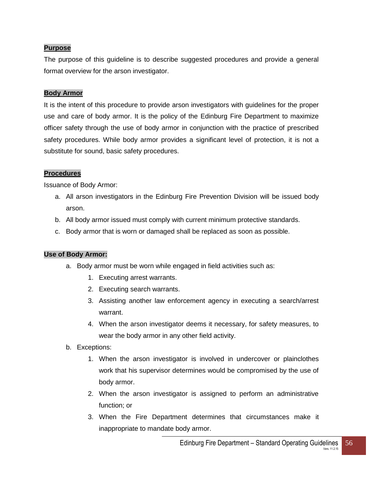### **Purpose**

The purpose of this guideline is to describe suggested procedures and provide a general format overview for the arson investigator.

## **Body Armor**

It is the intent of this procedure to provide arson investigators with guidelines for the proper use and care of body armor. It is the policy of the Edinburg Fire Department to maximize officer safety through the use of body armor in conjunction with the practice of prescribed safety procedures. While body armor provides a significant level of protection, it is not a substitute for sound, basic safety procedures.

## **Procedures**

Issuance of Body Armor:

- a. All arson investigators in the Edinburg Fire Prevention Division will be issued body arson.
- b. All body armor issued must comply with current minimum protective standards.
- c. Body armor that is worn or damaged shall be replaced as soon as possible.

# **Use of Body Armor:**

- a. Body armor must be worn while engaged in field activities such as:
	- 1. Executing arrest warrants.
	- 2. Executing search warrants.
	- 3. Assisting another law enforcement agency in executing a search/arrest warrant.
	- 4. When the arson investigator deems it necessary, for safety measures, to wear the body armor in any other field activity.
- b. Exceptions:
	- 1. When the arson investigator is involved in undercover or plainclothes work that his supervisor determines would be compromised by the use of body armor.
	- 2. When the arson investigator is assigned to perform an administrative function; or
	- 3. When the Fire Department determines that circumstances make it inappropriate to mandate body armor.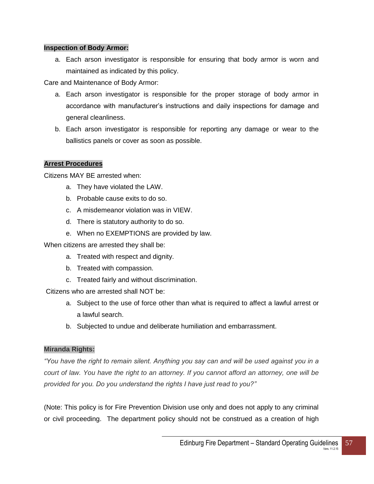### **Inspection of Body Armor:**

a. Each arson investigator is responsible for ensuring that body armor is worn and maintained as indicated by this policy.

Care and Maintenance of Body Armor:

- a. Each arson investigator is responsible for the proper storage of body armor in accordance with manufacturer's instructions and daily inspections for damage and general cleanliness.
- b. Each arson investigator is responsible for reporting any damage or wear to the ballistics panels or cover as soon as possible.

# **Arrest Procedures**

Citizens MAY BE arrested when:

- a. They have violated the LAW.
- b. Probable cause exits to do so.
- c. A misdemeanor violation was in VIEW.
- d. There is statutory authority to do so.
- e. When no EXEMPTIONS are provided by law.

When citizens are arrested they shall be:

- a. Treated with respect and dignity.
- b. Treated with compassion.
- c. Treated fairly and without discrimination.

Citizens who are arrested shall NOT be:

- a. Subject to the use of force other than what is required to affect a lawful arrest or a lawful search.
- b. Subjected to undue and deliberate humiliation and embarrassment.

# **Miranda Rights:**

*"You have the right to remain silent. Anything you say can and will be used against you in a court of law. You have the right to an attorney. If you cannot afford an attorney, one will be provided for you. Do you understand the rights I have just read to you?"*

(Note: This policy is for Fire Prevention Division use only and does not apply to any criminal or civil proceeding. The department policy should not be construed as a creation of high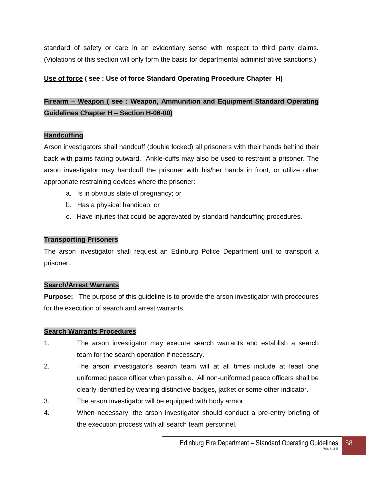standard of safety or care in an evidentiary sense with respect to third party claims. (Violations of this section will only form the basis for departmental administrative sanctions.)

# **Use of force ( see : Use of force Standard Operating Procedure Chapter H)**

# **Firearm – Weapon ( see : Weapon, Ammunition and Equipment Standard Operating Guidelines Chapter H – Section H-06-00)**

## **Handcuffing**

Arson investigators shall handcuff (double locked) all prisoners with their hands behind their back with palms facing outward. Ankle-cuffs may also be used to restraint a prisoner. The arson investigator may handcuff the prisoner with his/her hands in front, or utilize other appropriate restraining devices where the prisoner:

- a. Is in obvious state of pregnancy; or
- b. Has a physical handicap; or
- c. Have injuries that could be aggravated by standard handcuffing procedures.

## **Transporting Prisoners**

The arson investigator shall request an Edinburg Police Department unit to transport a prisoner.

### **Search/Arrest Warrants**

**Purpose:** The purpose of this guideline is to provide the arson investigator with procedures for the execution of search and arrest warrants.

### **Search Warrants Procedures**

- 1. The arson investigator may execute search warrants and establish a search team for the search operation if necessary.
- 2. The arson investigator's search team will at all times include at least one uniformed peace officer when possible. All non-uniformed peace officers shall be clearly identified by wearing distinctive badges, jacket or some other indicator.
- 3. The arson investigator will be equipped with body armor.
- 4. When necessary, the arson investigator should conduct a pre-entry briefing of the execution process with all search team personnel.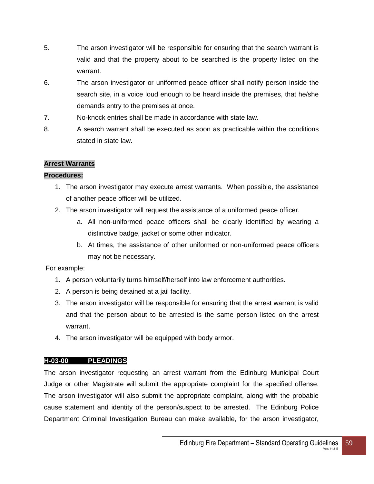- 5. The arson investigator will be responsible for ensuring that the search warrant is valid and that the property about to be searched is the property listed on the warrant.
- 6. The arson investigator or uniformed peace officer shall notify person inside the search site, in a voice loud enough to be heard inside the premises, that he/she demands entry to the premises at once.
- 7. No-knock entries shall be made in accordance with state law.
- 8. A search warrant shall be executed as soon as practicable within the conditions stated in state law.

# **Arrest Warrants**

# **Procedures:**

- 1. The arson investigator may execute arrest warrants. When possible, the assistance of another peace officer will be utilized.
- 2. The arson investigator will request the assistance of a uniformed peace officer.
	- a. All non-uniformed peace officers shall be clearly identified by wearing a distinctive badge, jacket or some other indicator.
	- b. At times, the assistance of other uniformed or non-uniformed peace officers may not be necessary.

For example:

- 1. A person voluntarily turns himself/herself into law enforcement authorities.
- 2. A person is being detained at a jail facility.
- 3. The arson investigator will be responsible for ensuring that the arrest warrant is valid and that the person about to be arrested is the same person listed on the arrest warrant.
- 4. The arson investigator will be equipped with body armor.

# **H-03-00 PLEADINGS**

The arson investigator requesting an arrest warrant from the Edinburg Municipal Court Judge or other Magistrate will submit the appropriate complaint for the specified offense. The arson investigator will also submit the appropriate complaint, along with the probable cause statement and identity of the person/suspect to be arrested. The Edinburg Police Department Criminal Investigation Bureau can make available, for the arson investigator,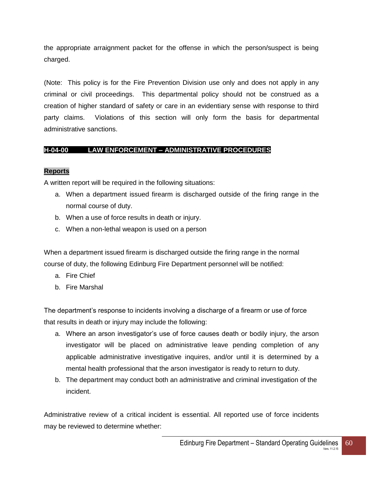the appropriate arraignment packet for the offense in which the person/suspect is being charged.

(Note: This policy is for the Fire Prevention Division use only and does not apply in any criminal or civil proceedings. This departmental policy should not be construed as a creation of higher standard of safety or care in an evidentiary sense with response to third party claims. Violations of this section will only form the basis for departmental administrative sanctions.

# **H-04-00 LAW ENFORCEMENT – ADMINISTRATIVE PROCEDURES**

## **Reports**

A written report will be required in the following situations:

- a. When a department issued firearm is discharged outside of the firing range in the normal course of duty.
- b. When a use of force results in death or injury.
- c. When a non-lethal weapon is used on a person

When a department issued firearm is discharged outside the firing range in the normal course of duty, the following Edinburg Fire Department personnel will be notified:

- a. Fire Chief
- b. Fire Marshal

The department's response to incidents involving a discharge of a firearm or use of force that results in death or injury may include the following:

- a. Where an arson investigator's use of force causes death or bodily injury, the arson investigator will be placed on administrative leave pending completion of any applicable administrative investigative inquires, and/or until it is determined by a mental health professional that the arson investigator is ready to return to duty.
- b. The department may conduct both an administrative and criminal investigation of the incident.

Administrative review of a critical incident is essential. All reported use of force incidents may be reviewed to determine whether: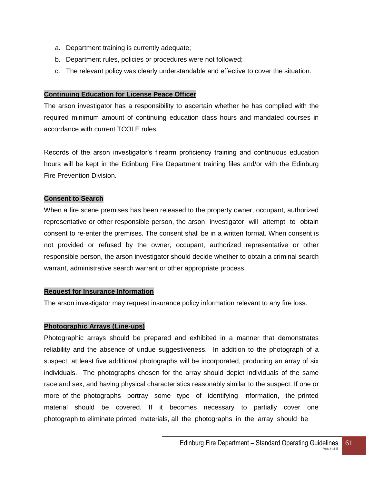- a. Department training is currently adequate;
- b. Department rules, policies or procedures were not followed;
- c. The relevant policy was clearly understandable and effective to cover the situation.

### **Continuing Education for License Peace Officer**

The arson investigator has a responsibility to ascertain whether he has complied with the required minimum amount of continuing education class hours and mandated courses in accordance with current TCOLE rules.

Records of the arson investigator's firearm proficiency training and continuous education hours will be kept in the Edinburg Fire Department training files and/or with the Edinburg Fire Prevention Division.

## **Consent to Search**

When a fire scene premises has been released to the property owner, occupant, authorized representative or other responsible person, the arson investigator will attempt to obtain consent to re-enter the premises. The consent shall be in a written format. When consent is not provided or refused by the owner, occupant, authorized representative or other responsible person, the arson investigator should decide whether to obtain a criminal search warrant, administrative search warrant or other appropriate process.

### **Request for Insurance Information**

The arson investigator may request insurance policy information relevant to any fire loss.

### **Photographic Arrays (Line-ups)**

Photographic arrays should be prepared and exhibited in a manner that demonstrates reliability and the absence of undue suggestiveness. In addition to the photograph of a suspect, at least five additional photographs will be incorporated, producing an array of six individuals. The photographs chosen for the array should depict individuals of the same race and sex, and having physical characteristics reasonably similar to the suspect. If one or more of the photographs portray some type of identifying information, the printed material should be covered. If it becomes necessary to partially cover one photograph to eliminate printed materials, all the photographs in the array should be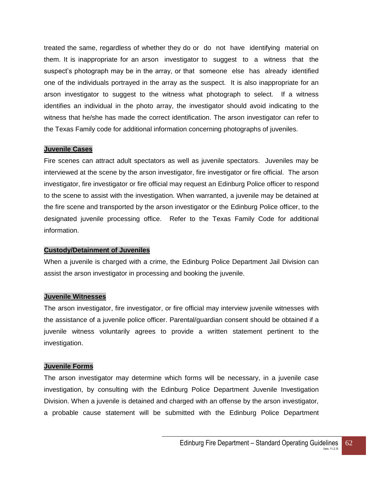treated the same, regardless of whether they do or do not have identifying material on them. It is inappropriate for an arson investigator to suggest to a witness that the suspect's photograph may be in the array, or that someone else has already identified one of the individuals portrayed in the array as the suspect. It is also inappropriate for an arson investigator to suggest to the witness what photograph to select. If a witness identifies an individual in the photo array, the investigator should avoid indicating to the witness that he/she has made the correct identification. The arson investigator can refer to the Texas Family code for additional information concerning photographs of juveniles.

### **Juvenile Cases**

Fire scenes can attract adult spectators as well as juvenile spectators. Juveniles may be interviewed at the scene by the arson investigator, fire investigator or fire official. The arson investigator, fire investigator or fire official may request an Edinburg Police officer to respond to the scene to assist with the investigation. When warranted, a juvenile may be detained at the fire scene and transported by the arson investigator or the Edinburg Police officer, to the designated juvenile processing office. Refer to the Texas Family Code for additional information.

### **Custody/Detainment of Juveniles**

When a juvenile is charged with a crime, the Edinburg Police Department Jail Division can assist the arson investigator in processing and booking the juvenile.

#### **Juvenile Witnesses**

The arson investigator, fire investigator, or fire official may interview juvenile witnesses with the assistance of a juvenile police officer. Parental/guardian consent should be obtained if a juvenile witness voluntarily agrees to provide a written statement pertinent to the investigation.

#### **Juvenile Forms**

The arson investigator may determine which forms will be necessary, in a juvenile case investigation, by consulting with the Edinburg Police Department Juvenile Investigation Division. When a juvenile is detained and charged with an offense by the arson investigator, a probable cause statement will be submitted with the Edinburg Police Department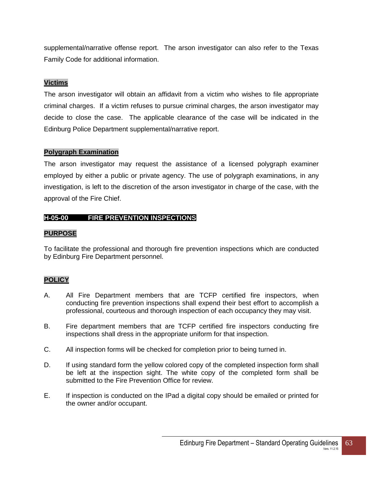supplemental/narrative offense report. The arson investigator can also refer to the Texas Family Code for additional information.

# **Victims**

The arson investigator will obtain an affidavit from a victim who wishes to file appropriate criminal charges. If a victim refuses to pursue criminal charges, the arson investigator may decide to close the case. The applicable clearance of the case will be indicated in the Edinburg Police Department supplemental/narrative report.

# **Polygraph Examination**

The arson investigator may request the assistance of a licensed polygraph examiner employed by either a public or private agency. The use of polygraph examinations, in any investigation, is left to the discretion of the arson investigator in charge of the case, with the approval of the Fire Chief.

# **H-05-00 FIRE PREVENTION INSPECTIONS**

# **PURPOSE**

To facilitate the professional and thorough fire prevention inspections which are conducted by Edinburg Fire Department personnel.

# **POLICY**

- A. All Fire Department members that are TCFP certified fire inspectors, when conducting fire prevention inspections shall expend their best effort to accomplish a professional, courteous and thorough inspection of each occupancy they may visit.
- B. Fire department members that are TCFP certified fire inspectors conducting fire inspections shall dress in the appropriate uniform for that inspection.
- C. All inspection forms will be checked for completion prior to being turned in.
- D. If using standard form the yellow colored copy of the completed inspection form shall be left at the inspection sight. The white copy of the completed form shall be submitted to the Fire Prevention Office for review.
- E. If inspection is conducted on the IPad a digital copy should be emailed or printed for the owner and/or occupant.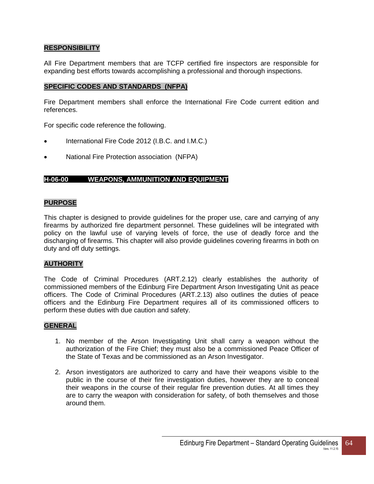# **RESPONSIBILITY**

All Fire Department members that are TCFP certified fire inspectors are responsible for expanding best efforts towards accomplishing a professional and thorough inspections.

### **SPECIFIC CODES AND STANDARDS (NFPA)**

Fire Department members shall enforce the International Fire Code current edition and references.

For specific code reference the following.

- International Fire Code 2012 (I.B.C. and I.M.C.)
- National Fire Protection association (NFPA)

### **H-06-00 WEAPONS, AMMUNITION AND EQUIPMENT**

#### **PURPOSE**

This chapter is designed to provide guidelines for the proper use, care and carrying of any firearms by authorized fire department personnel. These guidelines will be integrated with policy on the lawful use of varying levels of force, the use of deadly force and the discharging of firearms. This chapter will also provide guidelines covering firearms in both on duty and off duty settings.

### **AUTHORITY**

The Code of Criminal Procedures (ART.2.12) clearly establishes the authority of commissioned members of the Edinburg Fire Department Arson Investigating Unit as peace officers. The Code of Criminal Procedures (ART.2.13) also outlines the duties of peace officers and the Edinburg Fire Department requires all of its commissioned officers to perform these duties with due caution and safety.

#### **GENERAL**

- 1. No member of the Arson Investigating Unit shall carry a weapon without the authorization of the Fire Chief; they must also be a commissioned Peace Officer of the State of Texas and be commissioned as an Arson Investigator.
- 2. Arson investigators are authorized to carry and have their weapons visible to the public in the course of their fire investigation duties, however they are to conceal their weapons in the course of their regular fire prevention duties. At all times they are to carry the weapon with consideration for safety, of both themselves and those around them.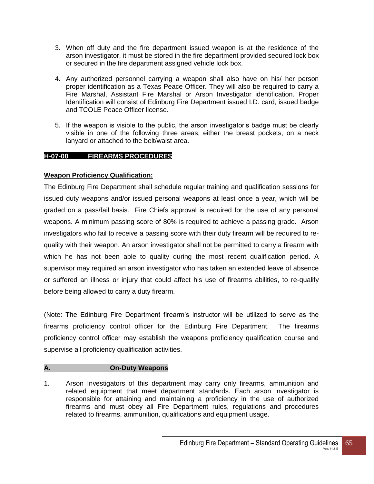- 3. When off duty and the fire department issued weapon is at the residence of the arson investigator, it must be stored in the fire department provided secured lock box or secured in the fire department assigned vehicle lock box.
- 4. Any authorized personnel carrying a weapon shall also have on his/ her person proper identification as a Texas Peace Officer. They will also be required to carry a Fire Marshal, Assistant Fire Marshal or Arson Investigator identification. Proper Identification will consist of Edinburg Fire Department issued I.D. card, issued badge and TCOLE Peace Officer license.
- 5. If the weapon is visible to the public, the arson investigator's badge must be clearly visible in one of the following three areas; either the breast pockets, on a neck lanyard or attached to the belt/waist area.

## **H-07-00 FIREARMS PROCEDURES**

## **Weapon Proficiency Qualification:**

The Edinburg Fire Department shall schedule regular training and qualification sessions for issued duty weapons and/or issued personal weapons at least once a year, which will be graded on a pass/fail basis. Fire Chiefs approval is required for the use of any personal weapons. A minimum passing score of 80% is required to achieve a passing grade. Arson investigators who fail to receive a passing score with their duty firearm will be required to requality with their weapon. An arson investigator shall not be permitted to carry a firearm with which he has not been able to quality during the most recent qualification period. A supervisor may required an arson investigator who has taken an extended leave of absence or suffered an illness or injury that could affect his use of firearms abilities, to re-qualify before being allowed to carry a duty firearm.

(Note: The Edinburg Fire Department firearm's instructor will be utilized to serve as the firearms proficiency control officer for the Edinburg Fire Department. The firearms proficiency control officer may establish the weapons proficiency qualification course and supervise all proficiency qualification activities.

# **A. On-Duty Weapons**

1. Arson Investigators of this department may carry only firearms, ammunition and related equipment that meet department standards. Each arson investigator is responsible for attaining and maintaining a proficiency in the use of authorized firearms and must obey all Fire Department rules, regulations and procedures related to firearms, ammunition, qualifications and equipment usage.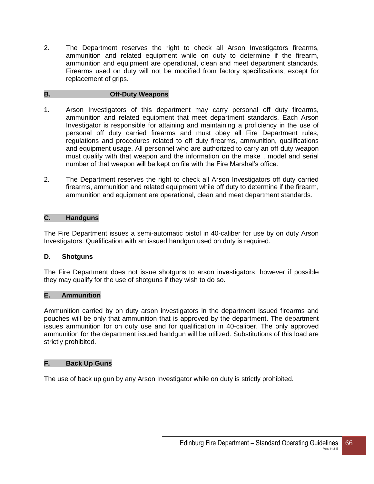2. The Department reserves the right to check all Arson Investigators firearms, ammunition and related equipment while on duty to determine if the firearm, ammunition and equipment are operational, clean and meet department standards. Firearms used on duty will not be modified from factory specifications, except for replacement of grips.

## **B. Off-Duty Weapons**

- 1. Arson Investigators of this department may carry personal off duty firearms, ammunition and related equipment that meet department standards. Each Arson Investigator is responsible for attaining and maintaining a proficiency in the use of personal off duty carried firearms and must obey all Fire Department rules, regulations and procedures related to off duty firearms, ammunition, qualifications and equipment usage. All personnel who are authorized to carry an off duty weapon must qualify with that weapon and the information on the make , model and serial number of that weapon will be kept on file with the Fire Marshal's office.
- 2. The Department reserves the right to check all Arson Investigators off duty carried firearms, ammunition and related equipment while off duty to determine if the firearm, ammunition and equipment are operational, clean and meet department standards.

## **C. Handguns**

The Fire Department issues a semi-automatic pistol in 40-caliber for use by on duty Arson Investigators. Qualification with an issued handgun used on duty is required.

# **D. Shotguns**

The Fire Department does not issue shotguns to arson investigators, however if possible they may qualify for the use of shotguns if they wish to do so.

### **E. Ammunition**

Ammunition carried by on duty arson investigators in the department issued firearms and pouches will be only that ammunition that is approved by the department. The department issues ammunition for on duty use and for qualification in 40-caliber. The only approved ammunition for the department issued handgun will be utilized. Substitutions of this load are strictly prohibited.

### **F. Back Up Guns**

The use of back up gun by any Arson Investigator while on duty is strictly prohibited.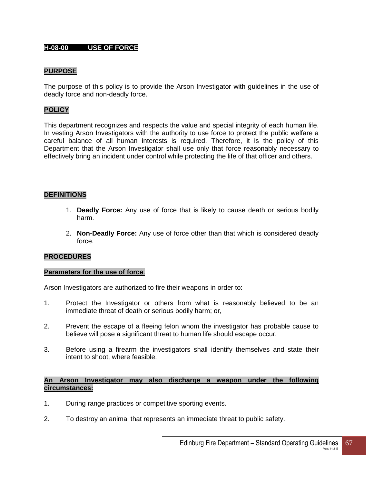#### **H-08-00 USE OF FORCE**

#### **PURPOSE**

The purpose of this policy is to provide the Arson Investigator with guidelines in the use of deadly force and non-deadly force.

#### **POLICY**

This department recognizes and respects the value and special integrity of each human life. In vesting Arson Investigators with the authority to use force to protect the public welfare a careful balance of all human interests is required. Therefore, it is the policy of this Department that the Arson Investigator shall use only that force reasonably necessary to effectively bring an incident under control while protecting the life of that officer and others.

#### **DEFINITIONS**

- 1. **Deadly Force:** Any use of force that is likely to cause death or serious bodily harm.
- 2. **Non-Deadly Force:** Any use of force other than that which is considered deadly force.

#### **PROCEDURES**

#### **Parameters for the use of force**.

Arson Investigators are authorized to fire their weapons in order to:

- 1. Protect the Investigator or others from what is reasonably believed to be an immediate threat of death or serious bodily harm; or,
- 2. Prevent the escape of a fleeing felon whom the investigator has probable cause to believe will pose a significant threat to human life should escape occur.
- 3. Before using a firearm the investigators shall identify themselves and state their intent to shoot, where feasible.

#### **An Arson Investigator may also discharge a weapon under the following circumstances:**

- 1. During range practices or competitive sporting events.
- 2. To destroy an animal that represents an immediate threat to public safety.

Vers. 11.2.15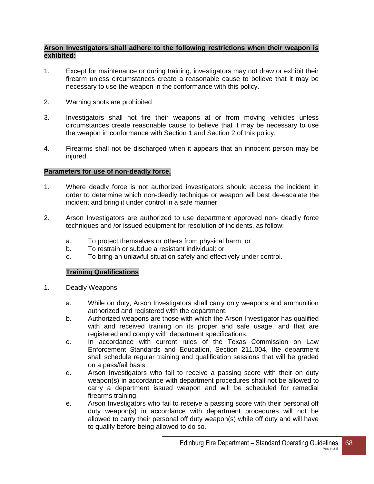### **Arson Investigators shall adhere to the following restrictions when their weapon is exhibited:**

- 1. Except for maintenance or during training, investigators may not draw or exhibit their firearm unless circumstances create a reasonable cause to believe that it may be necessary to use the weapon in the conformance with this policy.
- 2. Warning shots are prohibited
- 3. Investigators shall not fire their weapons at or from moving vehicles unless circumstances create reasonable cause to believe that it may be necessary to use the weapon in conformance with Section 1 and Section 2 of this policy.
- 4. Firearms shall not be discharged when it appears that an innocent person may be iniured.

## **Parameters for use of non-deadly force.**

- 1. Where deadly force is not authorized investigators should access the incident in order to determine which non-deadly technique or weapon will best de-escalate the incident and bring it under control in a safe manner.
- 2. Arson Investigators are authorized to use department approved non- deadly force techniques and /or issued equipment for resolution of incidents, as follow:
	- a. To protect themselves or others from physical harm; or
	- b. To restrain or subdue a resistant individual: or
	- c. To bring an unlawful situation safely and effectively under control.

# **Training Qualifications**

- 1. Deadly Weapons
	- a. While on duty, Arson Investigators shall carry only weapons and ammunition authorized and registered with the department.
	- b. Authorized weapons are those with which the Arson Investigator has qualified with and received training on its proper and safe usage, and that are registered and comply with department specifications.
	- c. In accordance with current rules of the Texas Commission on Law Enforcement Standards and Education, Section 211.004, the department shall schedule regular training and qualification sessions that will be graded on a pass/fail basis.
	- d. Arson Investigators who fail to receive a passing score with their on duty weapon(s) in accordance with department procedures shall not be allowed to carry a department issued weapon and will be scheduled for remedial firearms training.
	- e. Arson Investigators who fail to receive a passing score with their personal off duty weapon(s) in accordance with department procedures will not be allowed to carry their personal off duty weapon(s) while off duty and will have to qualify before being allowed to do so.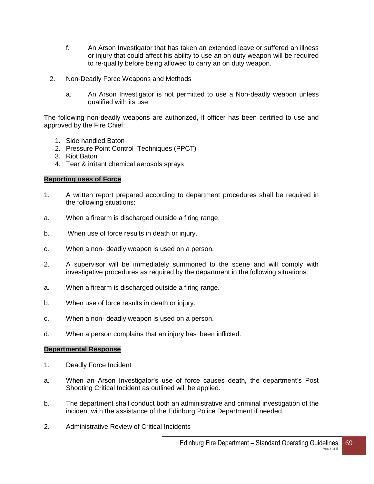- f. An Arson Investigator that has taken an extended leave or suffered an illness or injury that could affect his ability to use an on duty weapon will be required to re-qualify before being allowed to carry an on duty weapon.
- 2. Non-Deadly Force Weapons and Methods
	- a. An Arson Investigator is not permitted to use a Non-deadly weapon unless qualified with its use.

The following non-deadly weapons are authorized, if officer has been certified to use and approved by the Fire Chief:

- 1. Side handled Baton
- 2. Pressure Point Control Techniques (PPCT)
- 3. Riot Baton
- 4. Tear & irritant chemical aerosols sprays

## **Reporting uses of Force**

- 1. A written report prepared according to department procedures shall be required in the following situations:
- a. When a firearm is discharged outside a firing range.
- b. When use of force results in death or injury.
- c. When a non- deadly weapon is used on a person.
- 2. A supervisor will be immediately summoned to the scene and will comply with investigative procedures as required by the department in the following situations:
- a. When a firearm is discharged outside a firing range.
- b. When use of force results in death or injury.
- c. When a non- deadly weapon is used on a person.
- d. When a person complains that an injury has been inflicted.

### **Departmental Response**

- 1. Deadly Force Incident
- a. When an Arson Investigator's use of force causes death, the department's Post Shooting Critical Incident as outlined will be applied.
- b. The department shall conduct both an administrative and criminal investigation of the incident with the assistance of the Edinburg Police Department if needed.
- 2. Administrative Review of Critical Incidents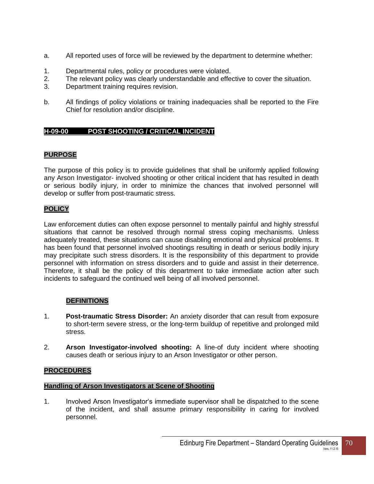- a. All reported uses of force will be reviewed by the department to determine whether:
- 1. Departmental rules, policy or procedures were violated.
- 2. The relevant policy was clearly understandable and effective to cover the situation.
- 3. Department training requires revision.
- b. All findings of policy violations or training inadequacies shall be reported to the Fire Chief for resolution and/or discipline.

# **H-09-00 POST SHOOTING / CRITICAL INCIDENT**

# **PURPOSE**

The purpose of this policy is to provide guidelines that shall be uniformly applied following any Arson Investigator- involved shooting or other critical incident that has resulted in death or serious bodily injury, in order to minimize the chances that involved personnel will develop or suffer from post-traumatic stress.

# **POLICY**

Law enforcement duties can often expose personnel to mentally painful and highly stressful situations that cannot be resolved through normal stress coping mechanisms. Unless adequately treated, these situations can cause disabling emotional and physical problems. It has been found that personnel involved shootings resulting in death or serious bodily injury may precipitate such stress disorders. It is the responsibility of this department to provide personnel with information on stress disorders and to guide and assist in their deterrence. Therefore, it shall be the policy of this department to take immediate action after such incidents to safeguard the continued well being of all involved personnel.

# **DEFINITIONS**

- 1. **Post-traumatic Stress Disorder:** An anxiety disorder that can result from exposure to short-term severe stress, or the long-term buildup of repetitive and prolonged mild stress.
- 2. **Arson Investigator-involved shooting:** A line-of duty incident where shooting causes death or serious injury to an Arson Investigator or other person.

# **PROCEDURES**

### **Handling of Arson Investigators at Scene of Shooting**

1. Involved Arson Investigator's immediate supervisor shall be dispatched to the scene of the incident, and shall assume primary responsibility in caring for involved personnel.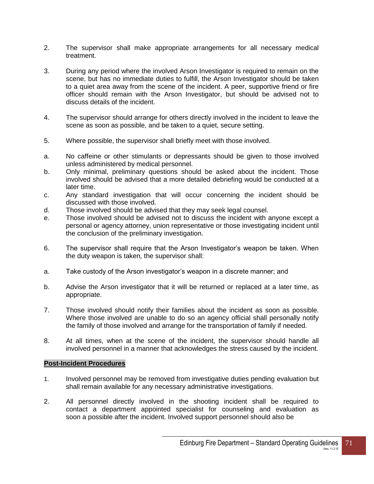- 2. The supervisor shall make appropriate arrangements for all necessary medical treatment.
- 3. During any period where the involved Arson Investigator is required to remain on the scene, but has no immediate duties to fulfill, the Arson Investigator should be taken to a quiet area away from the scene of the incident. A peer, supportive friend or fire officer should remain with the Arson Investigator, but should be advised not to discuss details of the incident.
- 4. The supervisor should arrange for others directly involved in the incident to leave the scene as soon as possible, and be taken to a quiet, secure setting.
- 5. Where possible, the supervisor shall briefly meet with those involved.
- a. No caffeine or other stimulants or depressants should be given to those involved unless administered by medical personnel.
- b. Only minimal, preliminary questions should be asked about the incident. Those involved should be advised that a more detailed debriefing would be conducted at a later time.
- c. Any standard investigation that will occur concerning the incident should be discussed with those involved.
- d. Those involved should be advised that they may seek legal counsel.
- e. Those involved should be advised not to discuss the incident with anyone except a personal or agency attorney, union representative or those investigating incident until the conclusion of the preliminary investigation.
- 6. The supervisor shall require that the Arson Investigator's weapon be taken. When the duty weapon is taken, the supervisor shall:
- a. Take custody of the Arson investigator's weapon in a discrete manner; and
- b. Advise the Arson investigator that it will be returned or replaced at a later time, as appropriate.
- 7. Those involved should notify their families about the incident as soon as possible. Where those involved are unable to do so an agency official shall personally notify the family of those involved and arrange for the transportation of family if needed.
- 8. At all times, when at the scene of the incident, the supervisor should handle all involved personnel in a manner that acknowledges the stress caused by the incident.

### **Post-Incident Procedures**

- 1. Involved personnel may be removed from investigative duties pending evaluation but shall remain available for any necessary administrative investigations.
- 2. All personnel directly involved in the shooting incident shall be required to contact a department appointed specialist for counseling and evaluation as soon a possible after the incident. Involved support personnel should also be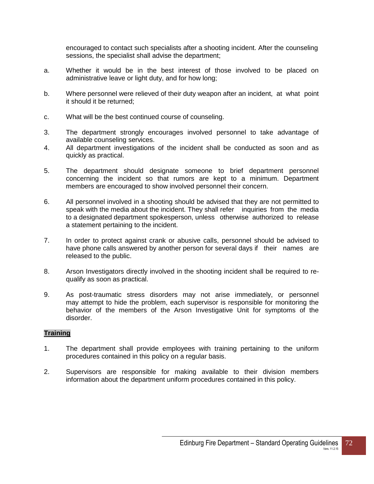encouraged to contact such specialists after a shooting incident. After the counseling sessions, the specialist shall advise the department;

- a. Whether it would be in the best interest of those involved to be placed on administrative leave or light duty, and for how long;
- b. Where personnel were relieved of their duty weapon after an incident, at what point it should it be returned;
- c. What will be the best continued course of counseling.
- 3. The department strongly encourages involved personnel to take advantage of available counseling services.
- 4. All department investigations of the incident shall be conducted as soon and as quickly as practical.
- 5. The department should designate someone to brief department personnel concerning the incident so that rumors are kept to a minimum. Department members are encouraged to show involved personnel their concern.
- 6. All personnel involved in a shooting should be advised that they are not permitted to speak with the media about the incident. They shall refer inquiries from the media to a designated department spokesperson, unless otherwise authorized to release a statement pertaining to the incident.
- 7. In order to protect against crank or abusive calls, personnel should be advised to have phone calls answered by another person for several days if their names are released to the public.
- 8. Arson Investigators directly involved in the shooting incident shall be required to requalify as soon as practical.
- 9. As post-traumatic stress disorders may not arise immediately, or personnel may attempt to hide the problem, each supervisor is responsible for monitoring the behavior of the members of the Arson Investigative Unit for symptoms of the disorder.

### **Training**

- 1. The department shall provide employees with training pertaining to the uniform procedures contained in this policy on a regular basis.
- 2. Supervisors are responsible for making available to their division members information about the department uniform procedures contained in this policy.